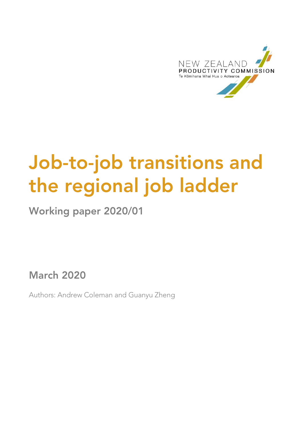

# **Job-to-job transitions and the regional job ladder**

**Working paper 2020/01**

**March 2020**

Authors: Andrew Coleman and Guanyu Zheng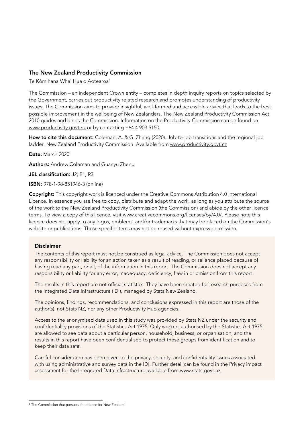#### **The New Zealand Productivity Commission**

Te Kōmihana Whai Hua o Aotearoa<sup>1</sup>

The Commission – an independent Crown entity – completes in depth inquiry reports on topics selected by the Government, carries out productivity related research and promotes understanding of productivity issues. The Commission aims to provide insightful, well-formed and accessible advice that leads to the best possible improvement in the wellbeing of New Zealanders. The New Zealand Productivity Commission Act 2010 guides and binds the Commission. Information on the Productivity Commission can be found on [www.productivity.govt.nz](http://www.productivity.govt.nz/) or by contacting +64 4 903 5150.

**How to cite this document:** Coleman, A. & G. Zheng (2020). Job-to-job transitions and the regional job ladder. New Zealand Productivity Commission. Available from [www.productivity.govt.nz](http://www.productivity.govt.nz/)

**Date:** March 2020

**Authors:** Andrew Coleman and Guanyu Zheng

**JEL classification:** J2, R1, R3

**ISBN:** 978-1-98-851946-3 (online)

**Copyright:** This copyright work is licenced under the Creative Commons Attribution 4.0 International Licence. In essence you are free to copy, distribute and adapt the work, as long as you attribute the source of the work to the New Zealand Productivity Commission (the Commission) and abide by the other licence terms. To view a copy of this licence, visit [www.creativecommons.org/licenses/by/4.0/.](http://www.creativecommons.org/licenses/by/4.0/) Please note this licence does not apply to any logos, emblems, and/or trademarks that may be placed on the Commission's website or publications. Those specific items may not be reused without express permission.

#### **Disclaimer**

The contents of this report must not be construed as legal advice. The Commission does not accept any responsibility or liability for an action taken as a result of reading, or reliance placed because of having read any part, or all, of the information in this report. The Commission does not accept any responsibility or liability for any error, inadequacy, deficiency, flaw in or omission from this report.

The results in this report are not official statistics. They have been created for research purposes from the Integrated Data Infrastructure (IDI), managed by Stats New Zealand.

The opinions, findings, recommendations, and conclusions expressed in this report are those of the author(s), not Stats NZ, nor any other Productivity Hub agencies.

Access to the anonymised data used in this study was provided by Stats NZ under the security and confidentiality provisions of the Statistics Act 1975. Only workers authorised by the Statistics Act 1975 are allowed to see data about a particular person, household, business, or organisation, and the results in this report have been confidentialised to protect these groups from identification and to keep their data safe.

Careful consideration has been given to the privacy, security, and confidentiality issues associated with using administrative and survey data in the IDI. Further detail can be found in the Privacy impact assessment for the Integrated Data Infrastructure available from [www.stats.govt.nz](http://www.stats.govt.nz/)

<sup>&</sup>lt;sup>1</sup> The Commission that pursues abundance for New Zealand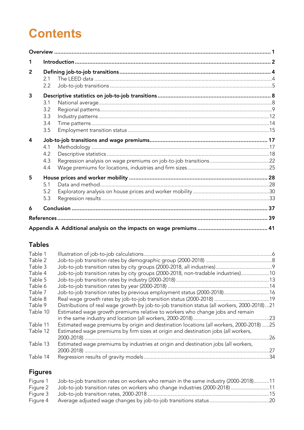## **Contents**

| 1              |                                 |  |
|----------------|---------------------------------|--|
| $\overline{2}$ | 2.1<br>2.2                      |  |
| 3              | 3.1<br>3.2<br>3.3<br>3.4<br>3.5 |  |
| $\Delta$       | 4.1<br>4.2<br>4.3<br>4.4        |  |
| 5              | 5.1<br>5.2<br>5.3               |  |
| 6              |                                 |  |
|                |                                 |  |
|                |                                 |  |

### **Tables**

| Table 1  |                                                                                              |     |
|----------|----------------------------------------------------------------------------------------------|-----|
| Table 2  |                                                                                              |     |
| Table 3  |                                                                                              |     |
| Table 4  | Job-to-job transition rates by city groups (2000-2018, non-tradable industries)10            |     |
| Table 5  |                                                                                              |     |
| Table 6  |                                                                                              |     |
| Table 7  | Job-to-job transition rates by previous employment status (2000-2018) 16                     |     |
| Table 8  |                                                                                              |     |
| Table 9  | Distributions of real wage growth by job-to-job transition status (all workers, 2000-2018)21 |     |
| Table 10 | Estimated wage growth premiums relative to workers who change jobs and remain                |     |
| Table 11 | Estimated wage premiums by origin and destination locations (all workers, 2000-2018) 25      |     |
| Table 12 | Estimated wage premiums by firm sizes at origin and destination jobs (all workers,           | .26 |
| Table 13 | Estimated wage premiums by industries at origin and destination jobs (all workers,           | 27  |
| Table 14 |                                                                                              |     |
|          |                                                                                              |     |

## **Figures**

|          | Figure 1 Job-to-job transition rates on workers who remain in the same industry (2000-2018)11 |  |
|----------|-----------------------------------------------------------------------------------------------|--|
| Fiaure 2 |                                                                                               |  |
|          |                                                                                               |  |
| Figure 4 |                                                                                               |  |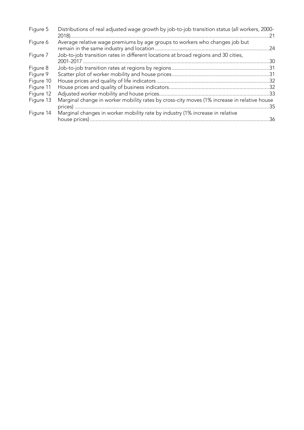| Figure 5  | Distributions of real adjusted wage growth by job-to-job transition status (all workers, 2000- | .21 |
|-----------|------------------------------------------------------------------------------------------------|-----|
| Figure 6  | Average relative wage premiums by age groups to workers who changes job but                    | .24 |
| Figure 7  | Job-to-job transition rates in different locations at broad regions and 30 cities,             | .30 |
| Figure 8  |                                                                                                |     |
| Figure 9  |                                                                                                |     |
| Figure 10 |                                                                                                |     |
| Figure 11 |                                                                                                |     |
| Figure 12 |                                                                                                |     |
| Figure 13 | Marginal change in worker mobility rates by cross-city moves (1% increase in relative house    | -35 |
| Figure 14 | Marginal changes in worker mobility rate by industry (1% increase in relative                  | .36 |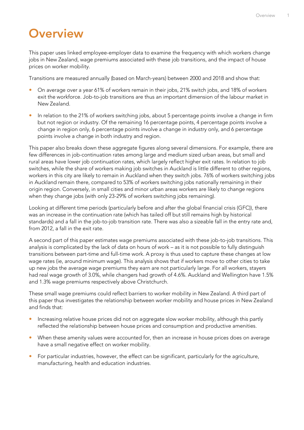## <span id="page-4-0"></span>**Overview**

This paper uses linked employee-employer data to examine the frequency with which workers change jobs in New Zealand, wage premiums associated with these job transitions, and the impact of house prices on worker mobility.

Transitions are measured annually (based on March-years) between 2000 and 2018 and show that:

- On average over a year 61% of workers remain in their jobs, 21% switch jobs, and 18% of workers exit the workforce. Job-to-job transitions are thus an important dimension of the labour market in New Zealand.
- In relation to the 21% of workers switching jobs, about 5 percentage points involve a change in firm but not region or industry. Of the remaining 16 percentage points, 4 percentage points involve a change in region only, 6 percentage points involve a change in industry only, and 6 percentage points involve a change in both industry and region.

This paper also breaks down these aggregate figures along several dimensions. For example, there are few differences in job-continuation rates among large and medium sized urban areas, but small and rural areas have lower job continuation rates, which largely reflect higher exit rates. In relation to job switches, while the share of workers making job switches in Auckland is little different to other regions, workers in this city are likely to remain in Auckland when they switch jobs. 76% of workers switching jobs in Auckland remain there, compared to 53% of workers switching jobs nationally remaining in their origin region. Conversely, in small cities and minor urban areas workers are likely to change regions when they change jobs (with only 23-29% of workers switching jobs remaining).

Looking at different time periods (particularly before and after the global financial crisis (GFC)), there was an increase in the continuation rate (which has tailed off but still remains high by historical standards) and a fall in the job-to-job transition rate. There was also a sizeable fall in the entry rate and, from 2012, a fall in the exit rate.

A second part of this paper estimates wage premiums associated with these job-to-job transitions. This analysis is complicated by the lack of data on hours of work – as it is not possible to fully distinguish transitions between part-time and full-time work. A proxy is thus used to capture these changes at low wage rates (ie, around minimum wage). This analysis shows that if workers move to other cities to take up new jobs the average wage premiums they earn are not particularly large. For all workers, stayers had real wage growth of 3.0%, while changers had growth of 4.6%. Auckland and Wellington have 1.5% and 1.3% wage premiums respectively above Christchurch.

These small wage premiums could reflect barriers to worker mobility in New Zealand. A third part of this paper thus investigates the relationship between worker mobility and house prices in New Zealand and finds that:

- **Increasing relative house prices did not on aggregate slow worker mobility, although this partly** reflected the relationship between house prices and consumption and productive amenities.
- When these amenity values were accounted for, then an increase in house prices does on average have a small negative effect on worker mobility.
- For particular industries, however, the effect can be significant, particularly for the agriculture, manufacturing, health and education industries.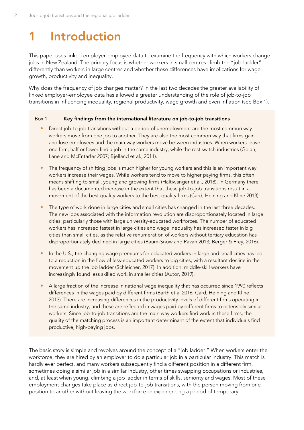## <span id="page-5-0"></span>**1 Introduction**

This paper uses linked employer-employee data to examine the frequency with which workers change jobs in New Zealand. The primary focus is whether workers in small centres climb the "job-ladder" differently than workers in large centres and whether these differences have implications for wage growth, productivity and inequality.

Why does the frequency of job changes matter? In the last two decades the greater availability of linked employer-employee data has allowed a greater understanding of the role of job-to-job transitions in influencing inequality, regional productivity, wage growth and even inflation (see Box 1).

#### Box 1 **Key findings from the international literature on job-to-job transitions**

- **•** Direct job-to job transitions without a period of unemployment are the most common way workers move from one job to another. They are also the most common way that firms gain and lose employees and the main way workers move between industries. When workers leave one firm, half or fewer find a job in the same industry, while the rest switch industries (Golan, Lane and McEntarfer 2007; Bjelland et al., 2011).
- The frequency of shifting jobs is much higher for young workers and this is an important way workers increase their wages. While workers tend to move to higher paying firms, this often means shifting to small, young and growing firms (Haltiwanger et al., 2018). In Germany there has been a documented increase in the extent that these job-to-job transitions result in a movement of the best quality workers to the best quality firms (Card, Heining and Kline 2013).
- The type of work done in large cities and small cities has changed in the last three decades. The new jobs associated with the information revolution are disproportionately located in large cities, particularly those with large university-educated workforces. The number of educated workers has increased fastest in large cities and wage inequality has increased faster in big cities than small cities, as the relative renumeration of workers without tertiary education has disproportionately declined in large cities (Baum-Snow and Pavan 2013; Berger & Frey, 2016).
- In the U.S., the changing wage premiums for educated workers in large and small cities has led to a reduction in the flow of less-educated workers to big cities, with a resultant decline in the movement up the job ladder (Schleicher, 2017). In addition, middle-skill workers have increasingly found less skilled work in smaller cities (Autor, 2019).
- A large fraction of the increase in national wage inequality that has occurred since 1990 reflects differences in the wages paid by different firms (Barth et al 2016; Card, Heining and Kline 2013). There are increasing differences in the productivity levels of different firms operating in the same industry, and these are reflected in wages paid by different firms to ostensibly similar workers. Since job-to-job transitions are the main way workers find work in these firms, the quality of the matching process is an important determinant of the extent that individuals find productive, high-paying jobs.

The basic story is simple and revolves around the concept of a "job ladder." When workers enter the workforce, they are hired by an employer to do a particular job in a particular industry. This match is hardly ever perfect, and many workers subsequently find a different position in a different firm, sometimes doing a similar job in a similar industry, other times swapping occupations or industries, and, at least when young, climbing a job ladder in terms of skills, seniority and wages. Most of these employment changes take place as direct job-to-job transitions, with the person moving from one position to another without leaving the workforce or experiencing a period of temporary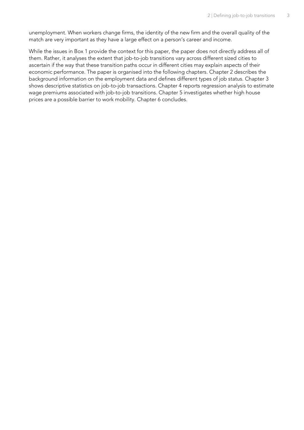unemployment. When workers change firms, the identity of the new firm and the overall quality of the match are very important as they have a large effect on a person's career and income.

While the issues in Box 1 provide the context for this paper, the paper does not directly address all of them. Rather, it analyses the extent that job-to-job transitions vary across different sized cities to ascertain if the way that these transition paths occur in different cities may explain aspects of their economic performance. The paper is organised into the following chapters. Chapter 2 describes the background information on the employment data and defines different types of job status. Chapter 3 shows descriptive statistics on job-to-job transactions. Chapter 4 reports regression analysis to estimate wage premiums associated with job-to-job transitions. Chapter 5 investigates whether high house prices are a possible barrier to work mobility. Chapter 6 concludes.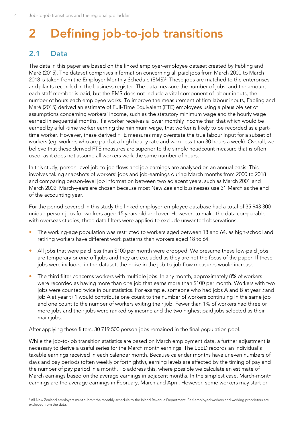## <span id="page-7-0"></span>**2 Defining job-to-job transitions**

## <span id="page-7-1"></span>**2.1 Data**

The data in this paper are based on the linked employer-employee dataset created by Fabling and Maré (2015). The dataset comprises information concerning all paid jobs from March 2000 to March 2018 is taken from the Employer Monthly Schedule (EMS)<sup>2</sup> . These jobs are matched to the enterprises and plants recorded in the business register. The data measure the number of jobs, and the amount each staff member is paid, but the EMS does not include a vital component of labour inputs, the number of hours each employee works. To improve the measurement of firm labour inputs, Fabling and Maré (2015) derived an estimate of Full-Time Equivalent (FTE) employees using a plausible set of assumptions concerning workers' income, such as the statutory minimum wage and the hourly wage earned in sequential months. If a worker receives a lower monthly income than that which would be earned by a full-time worker earning the minimum wage, that worker is likely to be recorded as a parttime worker. However, these derived FTE measures may overstate the true labour input for a subset of workers (eg, workers who are paid at a high hourly rate and work less than 30 hours a week). Overall, we believe that these derived FTE measures are superior to the simple headcount measure that is often used, as it does not assume all workers work the same number of hours.

In this study, person-level job-to-job flows and job-earnings are analysed on an annual basis. This involves taking snapshots of workers' jobs and job-earnings during March months from 2000 to 2018 and comparing person-level job information between two adjacent years, such as March 2001 and March 2002. March-years are chosen because most New Zealand businesses use 31 March as the end of the accounting year.

For the period covered in this study the linked employer-employee database had a total of 35 943 300 unique person-jobs for workers aged 15 years old and over. However, to make the data comparable with overseas studies, three data filters were applied to exclude unwanted observations.

- The working-age population was restricted to workers aged between 18 and 64, as high-school and retiring workers have different work patterns than workers aged 18 to 64.
- All jobs that were paid less than \$100 per month were dropped. We presume these low-paid jobs are temporary or one-off jobs and they are excluded as they are not the focus of the paper. If these jobs were included in the dataset, the noise in the job-to-job flow measures would increase.
- The third filter concerns workers with multiple jobs. In any month, approximately 8% of workers were recorded as having more than one job that earns more than \$100 per month. Workers with two jobs were counted twice in our statistics. For example, someone who had jobs A and B at year t and job A at year t+1 would contribute one count to the number of workers continuing in the same job and one count to the number of workers exiting their job. Fewer than 1% of workers had three or more jobs and their jobs were ranked by income and the two highest paid jobs selected as their main jobs.

After applying these filters, 30 719 500 person-jobs remained in the final population pool.

While the job-to-job transition statistics are based on March employment data, a further adjustment is necessary to derive a useful series for the March month earnings. The LEED records an individual's taxable earnings received in each calendar month. Because calendar months have uneven numbers of days and pay periods (often weekly or fortnightly), earning levels are affected by the timing of pay and the number of pay period in a month. To address this, where possible we calculate an estimate of March earnings based on the average earnings in adjacent months. In the simplest case, March-month earnings are the average earnings in February, March and April. However, some workers may start or

<sup>&</sup>lt;sup>2</sup> All New Zealand employers must submit the monthly schedule to the Inland Revenue Department. Self-employed workers and working proprietors are excluded from the data.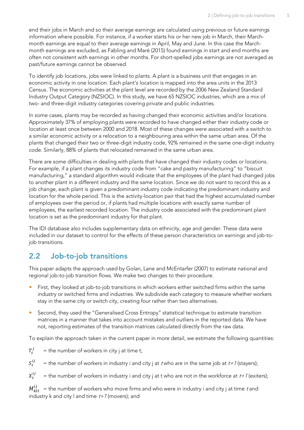end their jobs in March and so their average earnings are calculated using previous or future earnings information where possible. For instance, if a worker starts his or her new job in March, their Marchmonth earnings are equal to their average earnings in April, May and June. In this case the Marchmonth earnings are excluded, as Fabling and Maré (2015) found earnings in start and end months are often not consistent with earnings in other months. For short-spelled jobs earnings are not averaged as past/future earnings cannot be observed.

To identify job locations, jobs were linked to plants. A plant is a business unit that engages in an economic activity in one location. Each plant's location is mapped into the area units in the 2013 Census. The economic activities at the plant level are recorded by the 2006 New Zealand Standard Industry Output Category (NZSIOC). In this study, we have 65 NZSIOC industries, which are a mix of two- and three-digit industry categories covering private and public industries.

In some cases, plants may be recorded as having changed their economic activities and/or locations. Approximately 37% of employing plants were recorded to have changed either their industry code or location at least once between 2000 and 2018. Most of these changes were associated with a switch to a similar economic activity or a relocation to a neighbouring area within the same urban area. Of the plants that changed their two or three-digit industry code, 92% remained in the same one-digit industry code. Similarly, 88% of plants that relocated remained in the same urban area.

There are some difficulties in dealing with plants that have changed their industry codes or locations. For example, if a plant changes its industry code from "cake and pastry manufacturing" to "biscuit manufacturing," a standard algorithm would indicate that the employees of the plant had changed jobs to another plant in a different industry and the same location. Since we do not want to record this as a job change, each plant is given a predominant industry code indicating the predominant industry and location for the whole period. This is the activity-location pair that had the highest accumulated number of employees over the period or, if plants had multiple locations with exactly same number of employees, the earliest recorded location. The industry code associated with the predominant plant location is set as the predominant industry for that plant.

The IDI database also includes supplementary data on ethnicity, age and gender. These data were included in our dataset to control for the effects of these person characteristics on earnings and job-tojob transitions.

### <span id="page-8-0"></span>**2.2 Job-to-job transitions**

This paper adapts the approach used by Golan, Lane and McEntarfer (2007) to estimate national and regional job-to-job transition flows. We make two changes to their procedure.

- First, they looked at job-to-job transitions in which workers either switched firms within the same industry or switched firms and industries. We subdivide each category to measure whether workers stay in the same city or switch city, creating four rather than two alternatives.
- Second, they used the "Generalised Cross Entropy" statistical technique to estimate transition matrices in a manner that takes into account mistakes and outliers in the reported data. We have not, reporting estimates of the transition matrices calculated directly from the raw data.

To explain the approach taken in the current paper in more detail, we estimate the following quantities:

$$
T_t^j =
$$
 the number of workers in city j at time t;

 $S^{ij}_{\tau}$ = the number of workers in industry i and city j at t who are in the same job at  $t+1$  (stayers);

 $X^{ij}_{\star}$ = the number of workers in industry i and city j at t who are not in the workforce at  $t+1$  (exiters);

 $M^{ij}_{k l t-}$  = the number of workers who move firms and who were in industry i and city j at time  $\it t$  and industry k and city I and time  $t+1$  (movers); and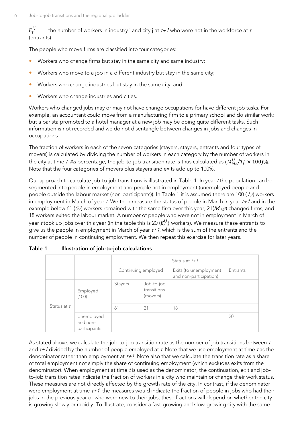$E_t^{ij}$ = the number of workers in industry i and city j at  $t+1$  who were not in the workforce at t (entrants).

The people who move firms are classified into four categories:

- Workers who change firms but stay in the same city and same industry;
- Workers who move to a job in a different industry but stay in the same city;
- Workers who change industries but stay in the same city; and
- Workers who change industries and cities.

Workers who changed jobs may or may not have change occupations for have different job tasks. For example, an accountant could move from a manufacturing firm to a primary school and do similar work; but a barista promoted to a hotel manager at a new job may be doing quite different tasks. Such information is not recorded and we do not disentangle between changes in jobs and changes in occupations.

The fraction of workers in each of the seven categories (stayers, stayers, entrants and four types of movers) is calculated by dividing the number of workers in each category by the number of workers in the city at time *t*. As percentage, the job-to-job transition rate is thus calculated as  $(M^{ij}_{klt}/T^j_t \times 100)\%$ . Note that the four categories of movers plus stayers and exits add up to 100%.

Our approach to calculate job-to-job transitions is illustrated in Table 1. In year <sup>t</sup> the population can be segmented into people in employment and people not in employment (unemployed people and people outside the labour market (non-participants)). In Table 1 it is assumed there are 100 (  $\mathcal{T}_t$  ) workers in employment in March of year t. We then measure the status of people in March in year  $t+1$  and in the example below 61 ( $S_t$ ) workers remained with the same firm over this year, 21( $M$  <sub>klt</sub>) changed firms, and 18 workers exited the labour market. A number of people who were not in employment in March of year  $t$  took up jobs over this year (in the table this is 20 ( $E_t^{ij}$ ) workers). We measure these entrants to give us the people in employment in March of year  $t+1$ , which is the sum of the entrants and the number of people in continuing employment. We then repeat this exercise for later years.

|             |                                        |                     | Status at $t+1$                       |                                                  |          |  |  |  |  |  |
|-------------|----------------------------------------|---------------------|---------------------------------------|--------------------------------------------------|----------|--|--|--|--|--|
|             |                                        | Continuing employed |                                       | Exits (to unemployment<br>and non-participation) | Entrants |  |  |  |  |  |
|             | Employed<br>(100)                      | <b>Stayers</b>      | Job-to-job<br>transitions<br>(movers) |                                                  |          |  |  |  |  |  |
| Status at t |                                        | 61                  | 21                                    | 18                                               |          |  |  |  |  |  |
|             | Unemployed<br>and non-<br>participants |                     |                                       |                                                  | 20       |  |  |  |  |  |

<span id="page-9-0"></span>

| Table 1 |  | Illustration of job-to-job calculations |  |
|---------|--|-----------------------------------------|--|
|---------|--|-----------------------------------------|--|

As stated above, we calculate the job-to-job transition rate as the number of job transitions between  $t$ and  $t+1$  divided by the number of people employed at t. Note that we use employment at time t as the denominator rather than employment at  $t+1$ . Note also that we calculate the transition rate as a share of total employment not simply the share of continuing employment (which excludes exits from the denominator). When employment at time  $t$  is used as the denominator, the continuation, exit and jobto-job transition rates indicate the fraction of workers in a city who maintain or change their work status. These measures are not directly affected by the growth rate of the city. In contrast, if the denominator were employment at time  $t+1$ , the measures would indicate the fraction of people in jobs who had their jobs in the previous year or who were new to their jobs, these fractions will depend on whether the city is growing slowly or rapidly. To illustrate, consider a fast-growing and slow-growing city with the same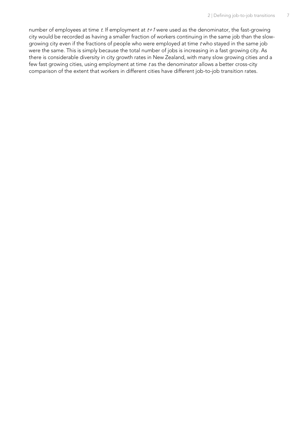number of employees at time  $t$ . If employment at  $t+1$  were used as the denominator, the fast-growing city would be recorded as having a smaller fraction of workers continuing in the same job than the slowgrowing city even if the fractions of people who were employed at time <sup>t</sup> who stayed in the same job were the same. This is simply because the total number of jobs is increasing in a fast growing city. As there is considerable diversity in city growth rates in New Zealand, with many slow growing cities and a few fast growing cities, using employment at time  $t$  as the denominator allows a better cross-city comparison of the extent that workers in different cities have different job-to-job transition rates.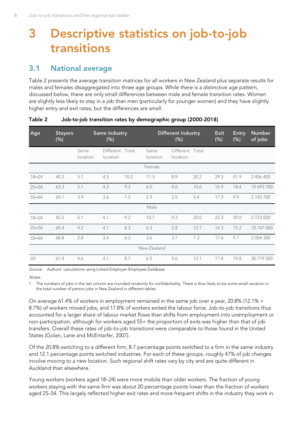## <span id="page-11-0"></span>**3 Descriptive statistics on job-to-job transitions**

## <span id="page-11-1"></span>**3.1 National average**

[Table 2](#page-11-2) presents the average transition matrices for all workers in New Zealand plus separate results for males and females disaggregated into three age groups. While there is a distinctive age pattern, discussed below, there are only small differences between male and female transition rates. Women are slightly less likely to stay in a job than men (particularly for younger women) and they have slightly higher entry and exit rates, but the differences are small.

| Age       | <b>Stayers</b><br>$(\%)$ |                  | Same industry<br>$(\%)$     |      | <b>Different industry</b><br>$(\%)$ |                             |      | Exit<br>$(\%)$ | <b>Entry</b><br>$(\%)$ | <b>Number</b><br>of jobs |  |
|-----------|--------------------------|------------------|-----------------------------|------|-------------------------------------|-----------------------------|------|----------------|------------------------|--------------------------|--|
|           |                          | Same<br>location | Different Total<br>location |      | Same<br>location                    | Different Total<br>location |      |                |                        |                          |  |
| Female    |                          |                  |                             |      |                                     |                             |      |                |                        |                          |  |
| $18 - 24$ | 40.3                     | 5.7              | 4.5                         | 10.2 | 11.3                                | 8.9                         | 20.2 | 29.3           | 41.9                   | 2 406 400                |  |
| $25 - 54$ | 63.3                     | 5.1              | 4.2                         | 9.3  | 6.0                                 | 4.6                         | 10.6 | 16.9           | 18.4                   | 10 693 100               |  |
| $55 - 64$ | 69.1                     | 3.9              | 3.6                         | 7.5  | 2.9                                 | 2.5                         | 5.4  | 17.9           | 9.9                    | 2 145 700                |  |
|           |                          |                  |                             |      | Male                                |                             |      |                |                        |                          |  |
| $18 - 24$ | 45.5                     | 5.1              | 4.1                         | 9.2  | 10.7                                | 9.3                         | 20.0 | 25.3           | 39.0                   | 2 7 2 3 0 0 0            |  |
| $25 - 54$ | 65.4                     | 4.2              | 4.1                         | 8.3  | 6.3                                 | 5.8                         | 12.1 | 14.3           | 15.2                   | 10 747 000               |  |
| $55 - 64$ | 68.8                     | 2.8              | 3.4                         | 6.2  | 3.6                                 | 3.7                         | 7.3  | 17.6           | 9.7                    | 2 004 300                |  |
|           |                          |                  |                             |      | New Zealand                         |                             |      |                |                        |                          |  |
| All       | 61.4                     | 4.6              | 4.1                         | 8.7  | 6.5                                 | 5.6                         | 12.1 | 17.8           | 19.8                   | 30 719 500               |  |

#### <span id="page-11-2"></span>**Table 2 Job-to-job transition rates by demographic group (2000-2018)**

Source: Authors' calculations using Linked Employer-Employee Database

#### $M \triangle$

1. The numbers of jobs in the last column are rounded randomly for confidentiality. There is thus likely to be some small variation in the total number of person jobs in New Zealand in different tables

On average 61.4% of workers in employment remained in the same job over a year, 20.8% (12.1% + 8.7%) of workers moved jobs, and 17.8% of workers exited the labour force. Job-to-job transitions thus accounted for a larger share of labour market flows than shifts from employment into unemployment or non-participation, although for workers aged 55+ the proportion of exits was higher than that of job transfers. Overall these rates of job-to-job transitions were comparable to those found in the United States (Golan, Lane and McEntarfer, 2007).

Of the 20.8% switching to a different firm, 8.7 percentage points switched to a firm in the same industry and 12.1 percentage points switched industries. For each of these groups, roughly 47% of job changes involve moving to a new location. Such regional shift rates vary by city and are quite different in Auckland than elsewhere.

Young workers (workers aged 18–24) were more mobile than older workers. The fraction of young workers staying with the same firm was about 20 percentage points lower than the fraction of workers aged 25–54. This largely reflected higher exit rates and more frequent shifts in the industry they work in.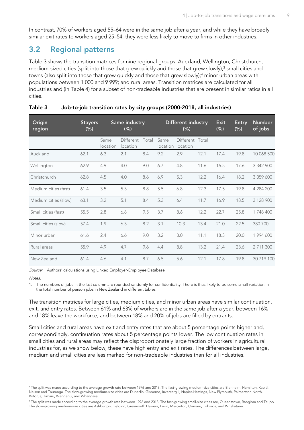In contrast, 70% of workers aged 55–64 were in the same job after a year, and while they have broadly similar exit rates to workers aged 25–54, they were less likely to move to firms in other industries.

## <span id="page-12-0"></span>**3.2 Regional patterns**

[Table 3](#page-12-1) shows the transition matrices for nine regional groups: Auckland; Wellington; Christchurch; medium-sized cities (split into those that grew quickly and those that grew slowly);<sup>3</sup> small cities and towns (also split into those that grew quickly and those that grew slowly);<sup>4</sup> minor urban areas with populations between 1 000 and 9 999; and rural areas. Transition matrices are calculated for all industries and (in [Table 4\)](#page-13-0) for a subset of non-tradeable industries that are present in similar ratios in all cities.

| Origin<br>region     | <b>Stayers</b><br>$(\%)$ |                  | Same industry<br>$(\%)$     |     |                  | Different industry<br>(%)   |      | Exit<br>(%) | <b>Entry</b><br>(%) | <b>Number</b><br>of jobs |
|----------------------|--------------------------|------------------|-----------------------------|-----|------------------|-----------------------------|------|-------------|---------------------|--------------------------|
|                      |                          | Same<br>location | Different Total<br>location |     | Same<br>location | Different Total<br>location |      |             |                     |                          |
| Auckland             | 62.1                     | 6.3              | 2.1                         | 8.4 | 9.2              | 2.9                         | 12.1 | 17.4        | 19.8                | 10 068 500               |
| Wellington           | 62.9                     | 4.9              | 4.0                         | 9.0 | 6.7              | 4.8                         | 11.6 | 16.5        | 17.6                | 3 342 900                |
| Christchurch         | 62.8                     | 4.5              | 4.0                         | 8.6 | 6.9              | 5.3                         | 12.2 | 16.4        | 18.2                | 3 059 600                |
| Medium cities (fast) | 61.4                     | 3.5              | 5.3                         | 8.8 | 5.5              | 6.8                         | 12.3 | 17.5        | 19.8                | 4 284 200                |
| Medium cities (slow) | 63.1                     | 3.2              | 5.1                         | 8.4 | 5.3              | 6.4                         | 11.7 | 16.9        | 18.5                | 3 128 900                |
| Small cities (fast)  | 55.5                     | 2.8              | 6.8                         | 9.5 | 3.7              | 8.6                         | 12.2 | 22.7        | 25.8                | 1 748 400                |
| Small cities (slow)  | 57.4                     | 1.9              | 6.3                         | 8.2 | 3.1              | 10.3                        | 13.4 | 21.0        | 22.5                | 380 700                  |
| Minor urban          | 61.6                     | 2.4              | 6.6                         | 9.0 | 3.2              | 8.0                         | 11.1 | 18.3        | 20.0                | 1 994 600                |
| Rural areas          | 55.9                     | 4.9              | 4.7                         | 9.6 | 4.4              | 8.8                         | 13.2 | 21.4        | 23.6                | 2 711 300                |
| New Zealand          | 61.4                     | 4.6              | 4.1                         | 8.7 | 6.5              | 5.6                         | 12.1 | 17.8        | 19.8                | 30 719 100               |

#### <span id="page-12-1"></span>**Table 3 Job-to-job transition rates by city groups (2000-2018, all industries)**

Source: Authors' calculations using Linked Employer-Employee Database

Notes:

1. The numbers of jobs in the last column are rounded randomly for confidentiality. There is thus likely to be some small variation in the total number of person jobs in New Zealand in different tables

The transition matrices for large cities, medium cities, and minor urban areas have similar continuation, exit, and entry rates. Between 61% and 63% of workers are in the same job after a year, between 16% and 18% leave the workforce, and between 18% and 20% of jobs are filled by entrants.

Small cities and rural areas have exit and entry rates that are about 5 percentage points higher and, correspondingly, continuation rates about 5 percentage points lower. The low continuation rates in small cities and rural areas may reflect the disproportionately large fraction of workers in agricultural industries for, as we show below, these have high entry and exit rates. The differences between large, medium and small cities are less marked for non-tradeable industries than for all industries.

<sup>&</sup>lt;sup>3</sup> The split was made according to the average growth rate between 1976 and 2013. The fast-growing medium-size cities are Blenheim, Hamilton, Kapiti, Nelson and Tauranga. The slow-growing medium-size cities are Dunedin, Gisborne, Invercargill, Napier-Hastings, New Plymouth, Palmerston North, Rotorua, Timaru, Wanganui, and Whangarei.

<sup>4</sup> The split was made according to the average growth rate between 1976 and 2013. The fast-growing small-size cities are, Queenstown, Rangiora and Taupo. The slow-growing medium-size cities are Ashburton, Fielding, Greymouth Hawera, Levin, Masterton, Oamaru, Tokoroa, and Whakatane.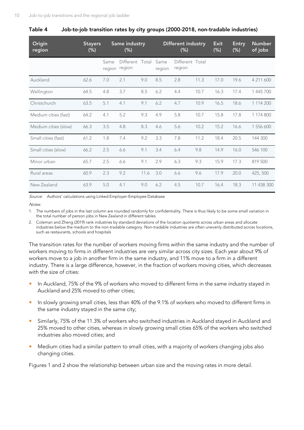| Origin<br>region     | <b>Stayers</b><br>$(\%)$ |                | Same industry<br>$(\%)$   |      |                | <b>Different industry</b><br>$(\%)$ |      | <b>Exit</b><br>$(\%)$ | <b>Entry</b><br>$(\%)$ | <b>Number</b><br>of jobs |
|----------------------|--------------------------|----------------|---------------------------|------|----------------|-------------------------------------|------|-----------------------|------------------------|--------------------------|
|                      |                          | Same<br>region | Different Total<br>region |      | Same<br>region | Different Total<br>region           |      |                       |                        |                          |
| Auckland             | 62.6                     | 7.0            | 2.1                       | 9.0  | 8.5            | 2.8                                 | 11.3 | 17.0                  | 19.6                   | 4 211 600                |
| Wellington           | 64.5                     | 4.8            | 3.7                       | 8.5  | 6.2            | 4.4                                 | 10.7 | 16.3                  | 17.4                   | 1 445 700                |
| Christchurch         | 63.5                     | 5.1            | 4.1                       | 9.1  | 6.2            | 4.7                                 | 10.9 | 16.5                  | 18.6                   | 1 114 200                |
| Medium cities (fast) | 64.2                     | 4.1            | 5.2                       | 9.3  | 4.9            | 5.8                                 | 10.7 | 15.8                  | 17.8                   | 1 174 800                |
| Medium cities (slow) | 66.3                     | 3.5            | 4.8                       | 8.3  | 4.6            | 5.6                                 | 10.2 | 15.2                  | 16.6                   | 1 556 600                |
| Small cities (fast)  | 61.2                     | 1.8            | 7.4                       | 9.2  | 3.3            | 7.8                                 | 11.2 | 18.4                  | 20.5                   | 144 300                  |
| Small cities (slow)  | 66.2                     | 2.5            | 6.6                       | 9.1  | 3.4            | 6.4                                 | 9.8  | 14.9                  | 16.0                   | 546 100                  |
| Minor urban          | 65.7                     | 2.5            | 6.6                       | 9.1  | 2.9            | 6.3                                 | 9.3  | 15.9                  | 17.3                   | 819 500                  |
| Rural areas          | 60.9                     | 2.3            | 9.2                       | 11.6 | 3.0            | 6.6                                 | 9.6  | 17.9                  | 20.0                   | 425, 500                 |
| New Zealand          | 63.9                     | 5.0            | 4.1                       | 9.0  | 6.2            | 4.5                                 | 10.7 | 16.4                  | 18.3                   | 11 438 300               |

#### <span id="page-13-0"></span>**Table 4 Job-to-job transition rates by city groups (2000-2018, non-tradable industries)**

Source: Authors' calculations using Linked Employer-Employee Database

Notes:

- 1. The numbers of jobs in the last column are rounded randomly for confidentiality. There is thus likely to be some small variation in the total number of person jobs in New Zealand in different tables
- 2. Coleman and Zheng (2019) rank industries by standard deviations of the location quotients across urban areas and allocate industries below the medium to the non-tradable category. Non-tradable industries are often unevenly distributed across locations, such as restaurants, schools and hospitals

The transition rates for the number of workers moving firms within the same industry and the number of workers moving to firms in different industries are very similar across city sizes. Each year about 9% of workers move to a job in another firm in the same industry, and 11% move to a firm in a different industry. There is a large difference, however, in the fraction of workers moving cities, which decreases with the size of cities:

- In Auckland, 75% of the 9% of workers who moved to different firms in the same industry stayed in Auckland and 25% moved to other cities;
- In slowly growing small cities, less than 40% of the 9.1% of workers who moved to different firms in the same industry stayed in the same city;
- Similarly, 75% of the 11.3% of workers who switched industries in Auckland stayed in Auckland and 25% moved to other cities, whereas in slowly growing small cities 65% of the workers who switched industries also moved cities; and
- Medium cities had a similar pattern to small cities, with a majority of workers changing jobs also changing cities.

Figures 1 and 2 show the relationship between urban size and the moving rates in more detail.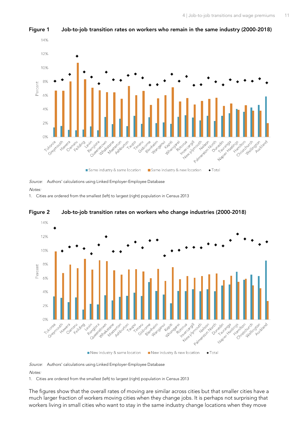

<span id="page-14-0"></span>**Figure 1 Job-to-job transition rates on workers who remain in the same industry (2000-2018)**

Source: Authors' calculations using Linked Employer-Employee Database

**Notes** 

1. Cities are ordered from the smallest (left) to largest (right) population in Census 2013



<span id="page-14-1"></span>**Figure 2 Job-to-job transition rates on workers who change industries (2000-2018)**

Source: Authors' calculations using Linked Employer-Employee Database Notes:

1. Cities are ordered from the smallest (left) to largest (right) population in Census 2013

The figures show that the overall rates of moving are similar across cities but that smaller cities have a much larger fraction of workers moving cities when they change jobs. It is perhaps not surprising that workers living in small cities who want to stay in the same industry change locations when they move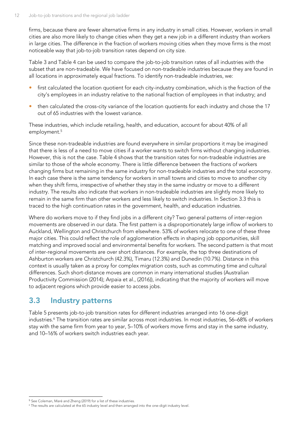firms, because there are fewer alternative firms in any industry in small cities. However, workers in small cities are also more likely to change cities when they get a new job in a different industry than workers in large cities. The difference in the fraction of workers moving cities when they move firms is the most noticeable way that job-to-job transition rates depend on city size.

[Table 3](#page-12-1) and [Table](#page-13-0) 4 can be used to compare the job-to-job transition rates of all industries with the subset that are non-tradeable. We have focused on non-tradeable industries because they are found in all locations in approximately equal fractions. To identify non-tradeable industries, we:

- first calculated the location quotient for each city-industry combination, which is the fraction of the city's employees in an industry relative to the national fraction of employees in that industry; and
- then calculated the cross-city variance of the location quotients for each industry and chose the 17 out of 65 industries with the lowest variance.

These industries, which include retailing, health, and education, account for about 40% of all employment.<sup>5</sup>

Since these non-tradeable industries are found everywhere in similar proportions it may be imagined that there is less of a need to move cities if a worker wants to switch firms without changing industries. However, this is not the case. [Table 4](#page-13-0) shows that the transition rates for non-tradeable industries are similar to those of the whole economy. There is little difference between the fractions of workers changing firms but remaining in the same industry for non-tradeable industries and the total economy. In each case there is the same tendency for workers in small towns and cities to move to another city when they shift firms, irrespective of whether they stay in the same industry or move to a different industry. The results also indicate that workers in non-tradeable industries are slightly more likely to remain in the same firm than other workers and less likely to switch industries. In Section [3.3](#page-15-0) this is traced to the high continuation rates in the government, health, and education industries.

Where do workers move to if they find jobs in a different city? Two general patterns of inter-region movements are observed in our data. The first pattern is a disproportionately large inflow of workers to Auckland, Wellington and Christchurch from elsewhere. 53% of workers relocate to one of these three major cities. This could reflect the role of agglomeration effects in shaping job opportunities, skill matching and improved social and environmental benefits for workers. The second pattern is that most of inter-regional movements are over short distances. For example, the top three destinations of Ashburton workers are Christchurch (42.3%), Timaru (12.3%) and Dunedin (10.7%). Distance in this context is usually taken as a proxy for complex migration costs, such as commuting time and cultural differences. Such short-distance moves are common in many international studies (Australian Productivity Commission (2014); Arpaia et al., (2016)), indicating that the majority of workers will move to adjacent regions which provide easier to access jobs.

### <span id="page-15-0"></span>**3.3 Industry patterns**

[Table 5](#page-16-0) presents job-to-job transition rates for different industries arranged into 16 one-digit industries.<sup>6</sup> The transition rates are similar across most industries. In most industries, 56–68% of workers stay with the same firm from year to year, 5–10% of workers move firms and stay in the same industry, and 10–16% of workers switch industries each year.

<sup>5</sup> See Coleman, Maré and Zheng (2019) for a list of these industries.

<sup>6</sup> The results are calculated at the 65 industry level and then arranged into the one-digit industry level.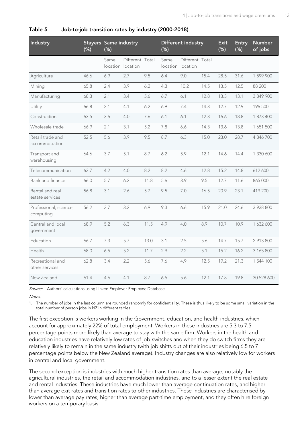| Industry                            | <b>Stayers Same industry</b><br>(% ) | (% )                      |                 |      | (% ) | <b>Different industry</b>            |      | <b>Exit</b><br>(% ) | <b>Entry</b><br>(%) | Number<br>of jobs |
|-------------------------------------|--------------------------------------|---------------------------|-----------------|------|------|--------------------------------------|------|---------------------|---------------------|-------------------|
|                                     |                                      | Same<br>location location | Different Total |      | Same | Different Total<br>location location |      |                     |                     |                   |
| Agriculture                         | 46.6                                 | 6.9                       | 2.7             | 9.5  | 6.4  | 9.0                                  | 15.4 | 28.5                | 31.6                | 1 599 900         |
| Mining                              | 65.8                                 | 2.4                       | 3.9             | 6.2  | 4.3  | 10.2                                 | 14.5 | 13.5                | 12.5                | 88 200            |
| Manufacturing                       | 68.3                                 | 2.1                       | 3.4             | 5.6  | 6.7  | 6.1                                  | 12.8 | 13.3                | 13.1                | 3 849 900         |
| Utility                             | 66.8                                 | 2.1                       | 4.1             | 6.2  | 6.9  | 7.4                                  | 14.3 | 12.7                | 12.9                | 196 500           |
| Construction                        | 63.5                                 | 3.6                       | 4.0             | 7.6  | 6.1  | 6.1                                  | 12.3 | 16.6                | 18.8                | 1 873 400         |
| Wholesale trade                     | 66.9                                 | 2.1                       | 3.1             | 5.2  | 7.8  | 6.6                                  | 14.3 | 13.6                | 13.8                | 1 651 500         |
| Retail trade and<br>accommodation   | 52.5                                 | 5.6                       | 3.9             | 9.5  | 8.7  | 6.3                                  | 15.0 | 23.0                | 28.7                | 4 846 700         |
| Transport and<br>warehousing        | 64.6                                 | 3.7                       | 5.1             | 8.7  | 6.2  | 5.9                                  | 12.1 | 14.6                | 14.4                | 1 330 600         |
| Telecommunication                   | 63.7                                 | 4.2                       | 4.0             | 8.2  | 8.2  | 4.6                                  | 12.8 | 15.2                | 14.8                | 612 600           |
| Bank and finance                    | 66.0                                 | 5.7                       | 6.2             | 11.8 | 5.6  | 3.9                                  | 9.5  | 12.7                | 11.6                | 865 000           |
| Rental and real<br>estate services  | 56.8                                 | 3.1                       | 2.6             | 5.7  | 9.5  | 7.0                                  | 16.5 | 20.9                | 23.1                | 419 200           |
| Professional, science,<br>computing | 56.2                                 | 3.7                       | 3.2             | 6.9  | 9.3  | 6.6                                  | 15.9 | 21.0                | 24.6                | 3 938 800         |
| Central and local<br>government     | 68.9                                 | 5.2                       | 6.3             | 11.5 | 4.9  | 4.0                                  | 8.9  | 10.7                | 10.9                | 1 632 600         |
| Education                           | 66.7                                 | 7.3                       | 5.7             | 13.0 | 3.1  | 2.5                                  | 5.6  | 14.7                | 15.7                | 2 913 800         |
| Health                              | 68.0                                 | 6.5                       | 5.2             | 11.7 | 2.9  | 2.2                                  | 5.1  | 15.2                | 16.2                | 3 165 800         |
| Recreational and<br>other services  | 62.8                                 | 3.4                       | 2.2             | 5.6  | 7.6  | 4.9                                  | 12.5 | 19.2                | 21.3                | 1 544 100         |
| New Zealand                         | 61.4                                 | 4.6                       | 4.1             | 8.7  | 6.5  | 5.6                                  | 12.1 | 17.8                | 19.8                | 30 528 600        |

#### <span id="page-16-0"></span>**Table 5 Job-to-job transition rates by industry (2000-2018)**

Source: Authors' calculations using Linked Employer-Employee Database

Notes:

1. The number of jobs in the last column are rounded randomly for confidentiality. These is thus likely to be some small variation in the total number of person jobs in NZ in different tables

The first exception is workers working in the Government, education, and health industries, which account for approximately 22% of total employment. Workers in these industries are 5.3 to 7.5 percentage points more likely than average to stay with the same firm. Workers in the health and education industries have relatively low rates of job-switches and when they do switch firms they are relatively likely to remain in the same industry (with job shifts out of their industries being 6.5 to 7 percentage points below the New Zealand average). Industry changes are also relatively low for workers in central and local government.

The second exception is industries with much higher transition rates than average, notably the agricultural industries, the retail and accommodation industries, and to a lesser extent the real estate and rental industries. These industries have much lower than average continuation rates, and higher than average exit rates and transition rates to other industries. These industries are characterised by lower than average pay rates, higher than average part-time employment, and they often hire foreign workers on a temporary basis.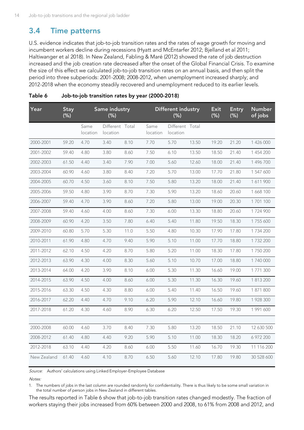### <span id="page-17-0"></span>**3.4 Time patterns**

U.S. evidence indicates that job-to-job transition rates and the rates of wage growth for moving and incumbent workers decline during recessions (Hyatt and McEntarfer 2012; Bjelland et al 2011; Haltiwanger et al 2018). In New Zealand, Fabling & Maré (2012) showed the rate of job destruction increased and the job creation rate decreased after the onset of the Global Financial Crisis. To examine the size of this effect we calculated job-to-job transition rates on an annual basis, and then split the period into three subperiods: 2001-2008; 2008-2012, when unemployment increased sharply; and 2012-2018 when the economy steadily recovered and unemployment reduced to its earlier levels.

| Year        | <b>Stay</b><br>$(\%)$ |                  | <b>Same industry</b><br>$(\%)$ |      |                  | <b>Different industry</b><br>$(\%)$ |       | <b>Exit</b><br>$(\%)$ | <b>Entry</b><br>$(\%)$ | <b>Number</b><br>of jobs |
|-------------|-----------------------|------------------|--------------------------------|------|------------------|-------------------------------------|-------|-----------------------|------------------------|--------------------------|
|             |                       | Same<br>location | Different Total<br>location    |      | Same<br>location | Different Total<br>location         |       |                       |                        |                          |
| 2000-2001   | 59.20                 | 4.70             | 3.40                           | 8.10 | 7.70             | 5.70                                | 13.50 | 19.20                 | 21.20                  | 1 426 000                |
| 2001-2002   | 59.40                 | 4.80             | 3.80                           | 8.60 | 7.50             | 6.10                                | 13.50 | 18.50                 | 21.40                  | 1 454 200                |
| 2002-2003   | 61.50                 | 4.40             | 3.40                           | 7.90 | 7.00             | 5.60                                | 12.60 | 18.00                 | 21.40                  | 1 496 700                |
| 2003-2004   | 60.90                 | 4.60             | 3.80                           | 8.40 | 7.20             | 5.70                                | 13.00 | 17.70                 | 21.80                  | 1 547 600                |
| 2004-2005   | 60.70                 | 4.50             | 3.60                           | 8.10 | 7.50             | 5.80                                | 13.20 | 18.00                 | 21.40                  | 1611900                  |
| 2005-2006   | 59.50                 | 4.80             | 3.90                           | 8.70 | 7.30             | 5.90                                | 13.20 | 18.60                 | 20.60                  | 1 668 100                |
| 2006-2007   | 59.40                 | 4.70             | 3.90                           | 8.60 | 7.20             | 5.80                                | 13.00 | 19.00                 | 20.30                  | 1 701 100                |
| 2007-2008   | 59.40                 | 4.60             | 4.00                           | 8.60 | 7.30             | 6.00                                | 13.30 | 18.80                 | 20.60                  | 1724900                  |
| 2008-2009   | 60.90                 | 4.20             | 3.50                           | 7.80 | 6.40             | 5.40                                | 11.80 | 19.50                 | 18.30                  | 1 7 5 5 6 0 0            |
| 2009-2010   | 60.80                 | 5.70             | 5.30                           | 11.0 | 5.50             | 4.80                                | 10.30 | 17.90                 | 17.80                  | 1 7 3 4 2 0 0            |
| 2010-2011   | 61.90                 | 4.80             | 4.70                           | 9.40 | 5.90             | 5.10                                | 11.00 | 17.70                 | 18.80                  | 1 7 3 2 2 0 0            |
| 2011-2012   | 62.10                 | 4.50             | 4.20                           | 8.70 | 5.80             | 5.20                                | 11.00 | 18.30                 | 17.80                  | 1 750 200                |
| 2012-2013   | 63.90                 | 4.30             | 4.00                           | 8.30 | 5.60             | 5.10                                | 10.70 | 17.00                 | 18.80                  | 1 740 000                |
| 2013-2014   | 64.00                 | 4.20             | 3.90                           | 8.10 | 6.00             | 5.30                                | 11.30 | 16.60                 | 19.00                  | 1 771 300                |
| 2014-2015   | 63.90                 | 4.50             | 4.00                           | 8.60 | 6.00             | 5.30                                | 11.30 | 16.30                 | 19.60                  | 1 813 200                |
| 2015-2016   | 63.30                 | 4.50             | 4.30                           | 8.80 | 6.00             | 5.40                                | 11.40 | 16.50                 | 19.60                  | 1 871 800                |
| 2016-2017   | 62.20                 | 4.40             | 4.70                           | 9.10 | 6.20             | 5.90                                | 12.10 | 16.60                 | 19.80                  | 1 928 300                |
| 2017-2018   | 61.20                 | 4.30             | 4.60                           | 8.90 | 6.30             | 6.20                                | 12.50 | 17.50                 | 19.30                  | 1 991 600                |
|             |                       |                  |                                |      |                  |                                     |       |                       |                        |                          |
| 2000-2008   | 60.00                 | 4.60             | 3.70                           | 8.40 | 7.30             | 5.80                                | 13.20 | 18.50                 | 21.10                  | 12 630 500               |
| 2008-2012   | 61.40                 | 4.80             | 4.40                           | 9.20 | 5.90             | 5.10                                | 11.00 | 18.30                 | 18.20                  | 6 972 200                |
| 2012-2018   | 63.10                 | 4.40             | 4.20                           | 8.60 | 6.00             | 5.50                                | 11.60 | 16.70                 | 19.30                  | 11 116 200               |
| New Zealand | 61.40                 | 4.60             | 4.10                           | 8.70 | 6.50             | 5.60                                | 12.10 | 17.80                 | 19.80                  | 30 528 600               |

#### <span id="page-17-1"></span>**Table 6 Job-to-job transition rates by year (2000-2018)**

Source: Authors' calculations using Linked Employer-Employee Database

#### Notes:

1. The numbers of jobs in the last column are rounded randomly for confidentiality. There is thus likely to be some small variation in the total number of person jobs in New Zealand in different tables.

The results reported in [Table 6](#page-17-1) show that job-to-job transition rates changed modestly. The fraction of workers staying their jobs increased from 60% between 2000 and 2008, to 61% from 2008 and 2012, and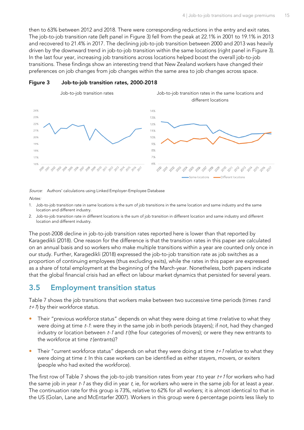then to 63% between 2012 and 2018. There were corresponding reductions in the entry and exit rates. The job-to-job transition rate (left panel in [Figure 3\)](#page-18-1) fell from the peak at 22.1% in 2001 to 19.1% in 2013 and recovered to 21.4% in 2017. The declining job-to-job transition between 2000 and 2013 was heavily driven by the downward trend in job-to-job transition within the same locations (right panel in [Figure 3\)](#page-18-1). In the last four year, increasing job transitions across locations helped boost the overall job-to-job transitions. These findings show an interesting trend that New Zealand workers have changed their preferences on job changes from job changes within the same area to job changes across space.



#### <span id="page-18-1"></span>**Figure 3 Job-to-job transition rates, 2000-2018**

Source: Authors' calculations using Linked Employer-Employee Database

Notes:

- 1. Job-to-job transition rate in same locations is the sum of job transitions in the same location and same industry and the same location and different industry.
- 2. Job-to-job transition rate in different locations is the sum of job transition in different location and same industry and different location and different industry.

The post-2008 decline in job-to-job transition rates reported here is lower than that reported by Karagedikli (2018). One reason for the difference is that the transition rates in this paper are calculated on an annual basis and so workers who make multiple transitions within a year are counted only once in our study. Further, Karagedikli (2018) expressed the job-to-job transition rate as job switches as a proportion of continuing employees (thus excluding exits), while the rates in this paper are expressed as a share of total employment at the beginning of the March-year. Nonetheless, both papers indicate that the global financial crisis had an effect on labour market dynamics that persisted for several years.

### <span id="page-18-0"></span>**3.5 Employment transition status**

[Table 7](#page-19-0) shows the job transitions that workers make between two successive time periods (times t and  $t+1$ ) by their workforce status.

- Their "previous workforce status" depends on what they were doing at time t relative to what they were doing at time t-1: were they in the same job in both periods (stayers); if not, had they changed industry or location between  $t-1$  and  $t$  (the four categories of movers); or were they new entrants to the workforce at time  $t$  (entrants)?
- Their "current workforce status" depends on what they were doing at time  $t+1$  relative to what they were doing at time t. In this case workers can be identified as either stayers, movers, or exiters (people who had exited the workforce).

The first row of [Table 7](#page-19-0) shows the job-to-job transition rates from year t to year  $t+1$  for workers who had the same job in year  $t-1$  as they did in year  $t$ , ie, for workers who were in the same job for at least a year. The continuation rate for this group is 73%, relative to 62% for all workers; it is almost identical to that in the US (Golan, Lane and McEntarfer 2007). Workers in this group were 6 percentage points less likely to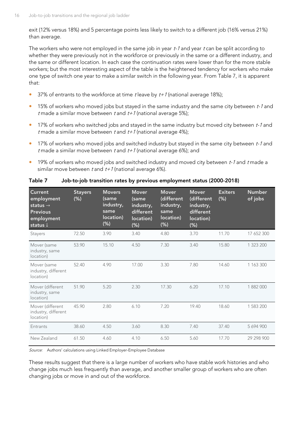exit (12% versus 18%) and 5 percentage points less likely to switch to a different job (16% versus 21%) than average.

The workers who were not employed in the same job in year  $t-1$  and year  $t$  can be split according to whether they were previously not in the workforce or previously in the same or a different industry, and the same or different location. In each case the continuation rates were lower than for the more stable workers; but the most interesting aspect of the table is the heightened tendency for workers who make one type of switch one year to make a similar switch in the following year. From [Table 7,](#page-19-0) it is apparent that:

- 37% of entrants to the workforce at time t leave by  $t+1$  (national average 18%);
- <sup>o</sup> 15% of workers who moved jobs but stayed in the same industry and the same city between t-1 and t made a similar move between t and  $t+1$  (national average 5%);
- 17% of workers who switched jobs and stayed in the same industry but moved city between t-1 and t made a similar move between t and  $t+1$  (national average 4%);
- 17% of workers who moved jobs and switched industry but stayed in the same city between t-1 and t made a similar move between t and  $t+1$  (national average 6%); and
- **19%** of workers who moved jobs and switched industry and moved city between t-1 and t made a similar move between t and  $t+1$  (national average 6%).

| Current<br>employment<br>status $\rightarrow$<br><b>Previous</b><br>employment<br>status $\downarrow$ | <b>Stayers</b><br>(% ) | <b>Movers</b><br>(same<br>industry,<br>same<br>location)<br>$(\%)$ | <b>Mover</b><br>(same<br>industry,<br>different<br>location)<br>$(\%)$ | Mover<br>(different<br>industry,<br>same<br>location)<br>$(\%)$ | <b>Mover</b><br>(different<br>industry,<br>different<br>location)<br>$(\%)$ | <b>Exiters</b><br>(% ) | <b>Number</b><br>of jobs |
|-------------------------------------------------------------------------------------------------------|------------------------|--------------------------------------------------------------------|------------------------------------------------------------------------|-----------------------------------------------------------------|-----------------------------------------------------------------------------|------------------------|--------------------------|
| Stayers                                                                                               | 72.50                  | 3.90                                                               | 3.40                                                                   | 4.80                                                            | 3.70                                                                        | 11.70                  | 17 652 300               |
| Mover (same<br>industry, same<br>location)                                                            | 53.90                  | 15.10                                                              | 4.50                                                                   | 7.30                                                            | 3.40                                                                        | 15.80                  | 1 323 200                |
| Mover (same<br>industry, different<br>location)                                                       | 52.40                  | 4.90                                                               | 17.00                                                                  | 3.30                                                            | 7.80                                                                        | 14.60                  | 1 163 300                |
| Mover (different<br>industry, same<br>location)                                                       | 51.90                  | 5.20                                                               | 2.30                                                                   | 17.30                                                           | 6.20                                                                        | 17.10                  | 1882000                  |
| Mover (different<br>industry, different<br>location)                                                  | 45.90                  | 2.80                                                               | 6.10                                                                   | 7.20                                                            | 19.40                                                                       | 18.60                  | 1 583 200                |
| Entrants                                                                                              | 38.60                  | 4.50                                                               | 3.60                                                                   | 8.30                                                            | 7.40                                                                        | 37.40                  | 5694900                  |
| New Zealand                                                                                           | 61.50                  | 4.60                                                               | 4.10                                                                   | 6.50                                                            | 5.60                                                                        | 17.70                  | 29 298 900               |

<span id="page-19-0"></span>**Table 7 Job-to-job transition rates by previous employment status (2000-2018)**

Source: Authors' calculations using Linked Employer-Employee Database

These results suggest that there is a large number of workers who have stable work histories and who change jobs much less frequently than average, and another smaller group of workers who are often changing jobs or move in and out of the workforce.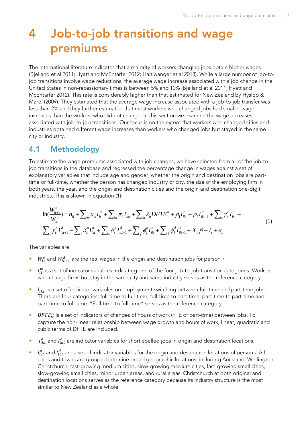## <span id="page-20-0"></span>**4 Job-to-job transitions and wage premiums**

The international literature indicates that a majority of workers changing jobs obtain higher wages (Bjelland et al 2011; Hyatt and McEntarfer 2012; Haltiwanger et al 2018). While a large number of job-tojob transitions involve wage reductions, the average wage increase associated with a job change in the United States in non-recessionary times is between 5% and 10% (Bjelland et al 2011; Hyatt and McEntarfer 2012). This rate is considerably higher than that estimated for New Zealand by Hyslop & Maré, (2009). They estimated that the average wage increase associated with a job-to-job transfer was less than 2% and they further estimated that most workers who changed jobs had smaller wage increases than the workers who did not change. In this section we examine the wage increases associated with job-to-job transitions. Our focus is on the extent that workers who changed cities and industries obtained different wage increases than workers who changed jobs but stayed in the same city or industry.

### <span id="page-20-1"></span>**4.1 Methodology**

To estimate the wage premiums associated with job changes, we have selected from all of the job-tojob transitions in the database and regressed the percentage change in wages against a set of explanatory variables that include age and gender, whether the origin and destination jobs are parttime or full-time, whether the person has changed industry or city, the size of the employing firm in both years, the year, and the origin and destination cities and the origin and destination one-digit industries. This is shown in equation (1): ther the person has changed industry or city, the size of the employing firm in<br>and the origin and destination cities and the origin and destination one-digit<br>wn in equation (1):<br> $\sum_{m} a_m I_{ii}^{m} + \sum_{k} \pi_{k} I_{ikt} + \sum_{n} \lambda_{n}$ 

<span id="page-20-2"></span>years, the year, and the origin and destination cities and the origin and destination one-digit  
tries. This is shown in equation (1):  

$$
\ln(\frac{W_{it+1}^d}{W_{it}^o}) = a_0 + \sum_m a_m I_{it}^m + \sum_k \pi_k I_{ikt} + \sum_n \lambda_n D F T E_{it}^n + \rho_1 I_{ikt}^o + \rho_2 I_{ikt+1}^d + \sum_c \gamma_c^o I_{ict}^o + \sum_c \gamma_c^d I_{ict+1}^d + \sum_s \delta_s^o I_{ist}^o + \sum_s \delta_s^d I_{ist+1}^d + \sum_r \phi_f^o I_{ift}^o + \sum_f \phi_f^d I_{ift+1}^d + X_{it} \beta + I_t + \varepsilon_{it}
$$
(1)

The variables are:

- $\bullet$   $W_{it}^{a}$  and  $W_{it+1}^{d}$  are the real wages in the origin and destination jobs for person *i*.
- $\bullet$   $I^m_{it}$  is a set of indicator variables indicating one of the four job-to-job transition categories. Workers who change firms but stay in the same city and same industry serves as the reference category.
- $I_{ikt}$  is a set of indicator variables on employment switching between full-time and part-time jobs. There are four categories: full-time to full-time, full-time to part-time, part-time to part-time and part-time to full-time. "Full-time to full-time" serves as the reference category.
- **•** DFT $E_{it}^{n}$  is a set of indicators of changes of hours of work (FTE or part-time) between jobs. To capture the non-linear relationship between wage growth and hours of work, linear, quadratic and cubic terms of DFTE are included.
- $\bullet$   $I_{ikt}^o$  and  $I_{ikt}^d$  are indicator variables for short-spelled jobs in origin and destination locations.
- $\bullet$   $I_{ict}^o$  and  $I_{ict}^d$  are a set of indicator variables for the origin and destination locations of person *i*. All cities and towns are grouped into nine broad geographic locations, including Auckland, Wellington, Christchurch, fast-growing medium cities, slow-growing medium cities, fast-growing small cities, slow-growing small cities, minor urban areas, and rural areas. Christchurch at both original and destination locations serves as the reference category because its industry structure is the most similar to New Zealand as a whole.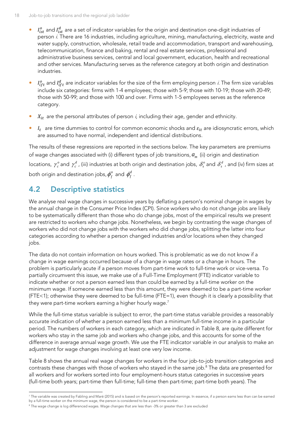- $\bullet$   $I_{ist}^o$  and  $I_{ist}^d$  are a set of indicator variables for the origin and destination one-digit industries of person *i*. There are 16 industries, including agriculture, mining, manufacturing, electricity, waste and water supply, construction, wholesale, retail trade and accommodation, transport and warehousing, telecommunication, finance and baking, rental and real estate services, professional and administrative business services, central and local government, education, health and recreational and other services. Manufacturing serves as the reference category at both origin and destination industries.
- $I_{ift}^o$  and  $I_{ift}^d$  are indicator variables for the size of the firm employing person *i*. The firm size variables include six categories: firms with 1-4 employees; those with 5-9; those with 10-19; those with 20-49; those with 50-99; and those with 100 and over. Firms with 1-5 employees serves as the reference category.
- $X_{it}$  are the personal attributes of person *i*, including their age, gender and ethnicity.
- $I_t$  are time dummies to control for common economic shocks and  $\varepsilon_{it}$  are idiosyncratic errors, which are assumed to have normal, independent and identical distributions.

The results of these regressions are reported in the sections below. The key parameters are premiums of wage changes associated with (i) different types of job transitions,  $a_{_m}^{\phantom{\dag}}$  (ii) origin and destination locations,  $\gamma_c^o$  $\gamma_c^o$  and  $\gamma_c^d$  $\gamma^d_c$ , (iii) industries at both origin and destination jobs,  $\delta^o_s$  $\delta_{\scriptscriptstyle s}^{\scriptscriptstyle o}$  and  $\delta_{\scriptscriptstyle s}^{\scriptscriptstyle d}$  , and (iv) firm sizes at both origin and destination jobs,  $\pmb{\phi}_{\!f}^o$  and  $\pmb{\phi}_{\!f}^d$  .

## <span id="page-21-0"></span>**4.2 Descriptive statistics**

We analyse real wage changes in successive years by deflating a person's nominal change in wages by the annual change in the Consumer Price Index (CPI). Since workers who do not change jobs are likely to be systematically different than those who do change jobs, most of the empirical results we present are restricted to workers who change jobs. Nonetheless, we begin by contrasting the wage changes of workers who did not change jobs with the workers who did change jobs, splitting the latter into four categories according to whether a person changed industries and/or locations when they changed jobs.

The data do not contain information on hours worked. This is problematic as we do not know if a change in wage earnings occurred because of a change in wage rates or a change in hours. The problem is particularly acute if a person moves from part-time work to full-time work or vice-versa. To partially circumvent this issue, we make use of a Full-Time Employment (FTE) indicator variable to indicate whether or not a person earned less than could be earned by a full-time worker on the minimum wage. If someone earned less than this amount, they were deemed to be a part-time worker (FTE<1); otherwise they were deemed to be full-time (FTE=1), even though it is clearly a possibility that they were part-time workers earning a higher hourly wage.<sup>7</sup>

While the full-time status variable is subject to error, the part-time status variable provides a reasonably accurate indication of whether a person earned less than a minimum full-time income in a particular period. The numbers of workers in each category, which are indicated in [Table 8,](#page-22-0) are quite different for workers who stay in the same job and workers who change jobs, and this accounts for some of the difference in average annual wage growth. We use the FTE indicator variable in our analysis to make an adjustment for wage changes involving at least one very low income.

[Table 8](#page-22-0) shows the annual real wage changes for workers in the four job-to-job transition categories and contrasts these changes with those of workers who stayed in the same job.<sup>8</sup> The data are presented for all workers and for workers sorted into four employment-hours status categories in successive years (full-time both years; part-time then full-time; full-time then part-time; part-time both years). The

 $^7$  The variable was created by Fabling and Maré (2015) and is based on the person's reported earnings. In essence, if a person earns less than can be earned by a full-time worker on the minimum wage, the person is considered to be a part-time worker.

<sup>8</sup> The wage change is log differenced wages. Wage changes that are less than -3% or greater than 3 are excluded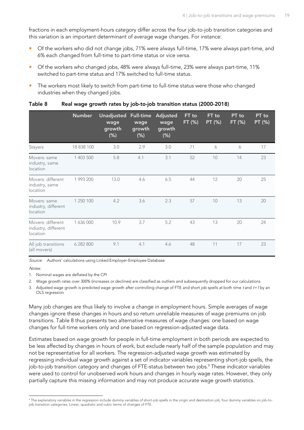fractions in each employment-hours category differ across the four job-to-job transition categories and this variation is an important determinant of average wage changes. For instance:

- Of the workers who did not change jobs, 71% were always full-time, 17% were always part-time, and 6% each changed from full-time to part-time status or vice versa.
- Of the workers who changed jobs, 48% were always full-time, 23% were always part-time, 11% switched to part-time status and 17% switched to full-time status.
- The workers most likely to switch from part-time to full-time status were those who changed industries when they changed jobs.

|                                                      | <b>Number</b> | Unadjusted<br>wage<br>growth<br>$(\%)$ | Full-time<br>wage<br>growth<br>$(\%)$ | Adjusted<br>wage<br>growth<br>$(\%)$ | FT to<br>FT (%) | FT to<br>PT (%) | PT to<br>FT (%) | PT to<br>PT (%) |
|------------------------------------------------------|---------------|----------------------------------------|---------------------------------------|--------------------------------------|-----------------|-----------------|-----------------|-----------------|
| Stayers                                              | 18 838 100    | 3.0                                    | 2.9                                   | 3.0                                  | 71              | 6               | 6               | 17              |
| Movers: same<br>industry, same<br>location           | 1 403 500     | 5.8                                    | 4.1                                   | 3.1                                  | 52              | 10              | 14              | 23              |
| Movers: different<br>industry, same<br>location      | 1 993 200     | 13.0                                   | 4.6                                   | 6.5                                  | 44              | 12              | 20              | 25              |
| Movers: same<br>industry, different<br>location      | 1 250 100     | 4.2                                    | 3.6                                   | 2.3                                  | 57              | 10              | 13              | 20              |
| Movers: different<br>industry, different<br>location | 1 636 000     | 10.9                                   | 3.7                                   | 5.2                                  | 43              | 13              | 20              | 24              |
| All job transitions<br>(all movers)                  | 6 282 800     | 9.1                                    | 4.1                                   | 4.6                                  | 48              | 11              | 17              | 23              |

#### <span id="page-22-0"></span>**Table 8 Real wage growth rates by job-to-job transition status (2000-2018)**

Source: Authors' calculations using Linked Employer-Employee Database

Notes:

1. Nominal wages are deflated by the CPI

2. Wage growth rates over 300% (increases or declines) are classified as outliers and subsequently dropped for our calculations

3. Adjusted wage growth is predicted wage growth after controlling change of FTE and short job spells at both time t and t+1 by an OLS regression

Many job changes are thus likely to involve a change in employment hours. Simple averages of wage changes ignore these changes in hours and so return unreliable measures of wage premiums on job transitions. [Table 8](#page-22-0) thus presents two alternative measures of wage changes: one based on wage changes for full-time workers only and one based on regression-adjusted wage data.

Estimates based on wage growth for people in full-time employment in both periods are expected to be less affected by changes in hours of work, but exclude nearly half of the sample population and may not be representative for all workers. The regression-adjusted wage growth was estimated by regressing individual wage growth against a set of indicator variables representing short-job spells, the job-to-job transition category and changes of FTE-status between two jobs. <sup>9</sup> These indicator variables were used to control for unobserved work hours and changes in hourly wage rates. However, they only partially capture this missing information and may not produce accurate wage growth statistics.

<sup>9</sup> The explanatory variables in the regression include dummy variables of short-job spells in the origin and destination job, four dummy variables on job-tojob transition categories, Linear, quadratic and cubic terms of changes of FTE.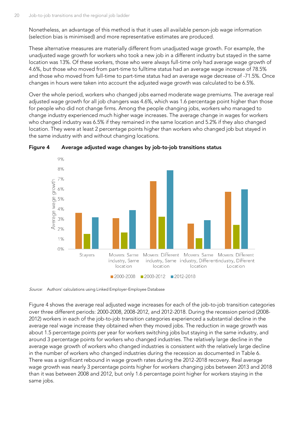Nonetheless, an advantage of this method is that it uses all available person-job wage information (selection bias is minimised) and more representative estimates are produced.

These alternative measures are materially different from unadjusted wage growth. For example, the unadjusted wage growth for workers who took a new job in a different industry but stayed in the same location was 13%. Of these workers, those who were always full-time only had average wage growth of 4.6%, but those who moved from part-time to fulltime status had an average wage increase of 78.5% and those who moved from full-time to part-time status had an average wage decrease of -71.5%. Once changes in hours were taken into account the adjusted wage growth was calculated to be 6.5%.

Over the whole period, workers who changed jobs earned moderate wage premiums. The average real adjusted wage growth for all job changers was 4.6%, which was 1.6 percentage point higher than those for people who did not change firms. Among the people changing jobs, workers who managed to change industry experienced much higher wage increases. The average change in wages for workers who changed industry was 6.5% if they remained in the same location and 5.2% if they also changed location. They were at least 2 percentage points higher than workers who changed job but stayed in the same industry with and without changing locations.



<span id="page-23-0"></span>

Source: Authors' calculations using Linked Employer-Employee Database

[Figure 4](#page-23-0) shows the average real adjusted wage increases for each of the job-to-job transition categories over three different periods: 2000-2008, 2008-2012, and 2012-2018. During the recession period (2008- 2012) workers in each of the job-to-job transition categories experienced a substantial decline in the average real wage increase they obtained when they moved jobs. The reduction in wage growth was about 1.5 percentage points per year for workers switching jobs but staying in the same industry, and around 3 percentage points for workers who changed industries. The relatively large decline in the average wage growth of workers who changed industries is consistent with the relatively large decline in the number of workers who changed industries during the recession as documented in [Table 6.](#page-17-1) There was a significant rebound in wage growth rates during the 2012-2018 recovery. Real average wage growth was nearly 3 percentage points higher for workers changing jobs between 2013 and 2018 than it was between 2008 and 2012, but only 1.6 percentage point higher for workers staying in the same jobs.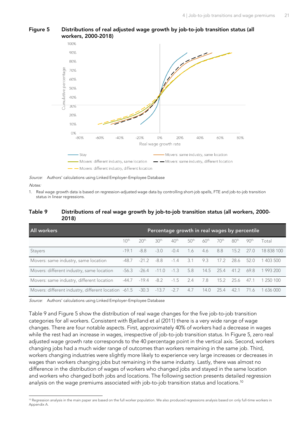

#### <span id="page-24-1"></span>**Figure 5 Distributions of real adjusted wage growth by job-to-job transition status (all workers, 2000-2018)**

Source: Authors' calculations using Linked Employer-Employee Database

#### Notes:

1. Real wage growth data is based on regression-adjusted wage data by controlling short-job spells, FTE and job-to-job transition status in linear regressions.

#### <span id="page-24-0"></span>**Table 9 Distributions of real wage growth by job-to-job transition status (all workers, 2000- 2018)**

| All workers                                                           |                  |                  |                  | Percentage growth in real wages by percentile |                  |                  |                  |                  |                  |            |
|-----------------------------------------------------------------------|------------------|------------------|------------------|-----------------------------------------------|------------------|------------------|------------------|------------------|------------------|------------|
|                                                                       | 10 <sup>th</sup> | 20 <sup>th</sup> | 30 <sup>th</sup> | 40 <sup>th</sup>                              | 50 <sup>th</sup> | 60 <sup>th</sup> | 70 <sup>th</sup> | 80 <sup>th</sup> | 90 <sup>th</sup> | Total      |
| Stayers                                                               | $-19.1$          | -8.8             | $-3.0$           | $-0.4$                                        | 1.6              | 4.6              | 8.8              | 15.2             | 27.O             | 18 838 100 |
| Movers: same industry, same location                                  | -48.7            | $-21.2$          | -8.8             | $-1.4$                                        | 3.1              | 9.3              | 17.2             | 28.6             | 52.0             | 403 500    |
| Movers: different industry, same location                             | -56.3            | $-26.4$          | $-11.0$          | $-1.3$                                        | 5.8              | 14.5             | 25.4             | 41.2             | 69.8             | 1 993 200  |
| Movers: same industry, different location                             | -44.7            | $-19.4$          | -8.2             | $-1.5$                                        | 2.4              | 7.8              | 15.2             | 25.6             | 47.1             | 1 250 100  |
| Movers: different industry, different location -61.5 -30.3 -13.7 -2.7 |                  |                  |                  |                                               | 4.7              | 14.0             | 25.4             | 42.1             | 71.6             | 1 636 000  |

Source: Authors' calculations using Linked Employer-Employee Database

[Table 9](#page-24-0) and [Figure 5](#page-24-1) show the distribution of real wage changes for the five job-to-job transition categories for all workers. Consistent with Bjelland et al (2011) there is a very wide range of wage changes. There are four notable aspects. First, approximately 40% of workers had a decrease in wages while the rest had an increase in wages, irrespective of job-to-job transition status. In Figure 5, zero real adjusted wage growth rate corresponds to the 40 percentage point in the vertical axis. Second, workers changing jobs had a much wider range of outcomes than workers remaining in the same job. Third, workers changing industries were slightly more likely to experience very large increases or decreases in wages than workers changing jobs but remaining in the same industry. Lastly, there was almost no difference in the distribution of wages of workers who changed jobs and stayed in the same location and workers who changed both jobs and locations. The following section presents detailed regression analysis on the wage premiums associated with job-to-job transition status and locations. 10

<sup>&</sup>lt;sup>10</sup> Regression analysis in the main paper are based on the full worker population. We also produced regressions analysis based on only full-time workers in Appendix A.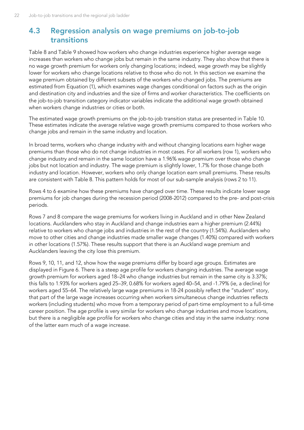## <span id="page-25-0"></span>**4.3 Regression analysis on wage premiums on job-to-job transitions**

[Table 8](#page-22-0) and [Table](#page-24-0) 9 showed how workers who change industries experience higher average wage increases than workers who change jobs but remain in the same industry. They also show that there is no wage growth premium for workers only changing locations; indeed, wage growth may be slightly lower for workers who change locations relative to those who do not. In this section we examine the wage premium obtained by different subsets of the workers who changed jobs. The premiums are estimated from Equation [\(1\)](#page-20-2), which examines wage changes conditional on factors such as the origin and destination city and industries and the size of firms and worker characteristics. The coefficients on the job-to-job transition category indicator variables indicate the additional wage growth obtained when workers change industries or cities or both.

The estimated wage growth premiums on the job-to-job transition status are presented in [Table 10.](#page-26-0) These estimates indicate the average relative wage growth premiums compared to those workers who change jobs and remain in the same industry and location.

In broad terms, workers who change industry with and without changing locations earn higher wage premiums than those who do not change industries in most cases. For all workers (row 1), workers who change industry and remain in the same location have a 1.96% wage premium over those who change jobs but not location and industry. The wage premium is slightly lower, 1.7% for those change both industry and location. However, workers who only change location earn small premiums. These results are consistent with [Table 8.](#page-22-0) This pattern holds for most of our sub-sample analysis (rows 2 to 11).

Rows 4 to 6 examine how these premiums have changed over time. These results indicate lower wage premiums for job changes during the recession period (2008-2012) compared to the pre- and post-crisis periods.

Rows 7 and 8 compare the wage premiums for workers living in Auckland and in other New Zealand locations. Aucklanders who stay in Auckland and change industries earn a higher premium (2.44%) relative to workers who change jobs and industries in the rest of the country (1.54%). Aucklanders who move to other cities and change industries made smaller wage changes (1.40%) compared with workers in other locations (1.57%). These results support that there is an Auckland wage premium and Aucklanders leaving the city lose this premium.

Rows 9, 10, 11, and 12, show how the wage premiums differ by board age groups. Estimates are displayed in [Figure 6.](#page-27-0) There is a steep age profile for workers changing industries. The average wage growth premium for workers aged 18–24 who change industries but remain in the same city is 3.37%; this falls to 1.93% for workers aged 25–39, 0.68% for workers aged 40–54, and -1.79% (ie, a decline) for workers aged 55–64. The relatively large wage premiums in 18-24 possibly reflect the "student" story, that part of the large wage increases occurring when workers simultaneous change industries reflects workers (including students) who move from a temporary period of part-time employment to a full-time career position. The age profile is very similar for workers who change industries and move locations, but there is a negligible age profile for workers who change cities and stay in the same industry: none of the latter earn much of a wage increase.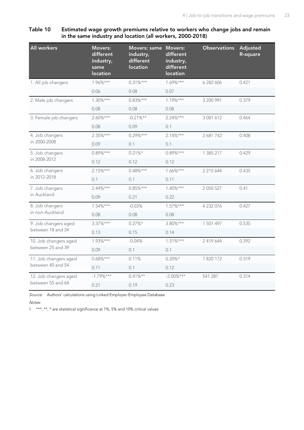<span id="page-26-0"></span>**Table 10 Estimated wage growth premiums relative to workers who change jobs and remain in the same industry and location (all workers, 2000-2018)**

| <b>All workers</b>              | <b>Movers:</b><br>different<br>industry,<br>same<br>location | Movers: same<br>industry,<br>different<br>location | <b>Movers:</b><br>different<br>industry,<br>different<br>location | <b>Observations</b> | Adjusted<br>R-square |
|---------------------------------|--------------------------------------------------------------|----------------------------------------------------|-------------------------------------------------------------------|---------------------|----------------------|
| 1. All job changers             | 1.96%***                                                     | $0.31\%***$                                        | $1.69%***$                                                        | 6 282 606           | 0.421                |
|                                 | 0.06                                                         | 0.08                                               | 0.07                                                              |                     |                      |
| 2. Male job changers            | $1.30%***$                                                   | $0.83\%***$                                        | $1.19%***$                                                        | 3 200 991           | 0.379                |
|                                 | 0.08                                                         | 0.08                                               | 0.08                                                              |                     |                      |
| 3. Female job changers          | $2.60\%***$                                                  | $-0.21%$ **                                        | $2.24%***$                                                        | 3 081 612           | 0.464                |
|                                 | 0.08                                                         | 0.09                                               | 0.1                                                               |                     |                      |
| 4. Job changers                 | $2.35%***$                                                   | $0.29\%***$                                        | $2.14%***$                                                        | 2 681 742           | 0.408                |
| in 2000-2008                    | 0.09                                                         | 0.1                                                | 0.1                                                               |                     |                      |
| 5. Job changers<br>in 2008-2012 | $0.89\%***$                                                  | $0.21\%*$                                          | $0.89%***$                                                        | 1 385 217           | 0.429                |
|                                 | 0.12                                                         | 0.12                                               | 0.12                                                              |                     |                      |
| 6. Job changers                 | $2.15%***$                                                   | $0.48\%***$                                        | $1.66\%***$                                                       | 2 215 644           | 0.435                |
| in 2012-2018                    | 0.1                                                          | 0.1                                                | 0.11                                                              |                     |                      |
| 7. Job changers                 | $2.44\%***$                                                  | $0.85\%***$                                        | $1.40\%***$                                                       | 2 0 5 0 5 2 7       | 0.41                 |
| in Auckland                     | 0.09                                                         | 0.21                                               | 0.22                                                              |                     |                      |
| 8. Job changers                 | $1.54\%***$                                                  | $-0.03%$                                           | $1.57\%***$                                                       | 4 232 076           | 0.427                |
| in non-Auckland                 | 0.08                                                         | 0.08                                               | 0.08                                                              |                     |                      |
| 9. Job changers aged            | $3.37\%***$                                                  | $0.27\%*$                                          | 3.80%***                                                          | 1 501 497           | 0.535                |
| between 18 and 24               | 0.13                                                         | 0.15                                               | 0.14                                                              |                     |                      |
| 10. Job changers aged           | $1.93%***$                                                   | $-0.04%$                                           | $1.51%***$                                                        | 2 419 644           | 0.392                |
| between 25 and 39               | 0.09                                                         | 0.1                                                | 0.1                                                               |                     |                      |
| 11. Job changers aged           | $0.68\%***$                                                  | 0.11%                                              | $0.20\%*$                                                         | 1 820 172           | 0.319                |
| between 40 and 54               | 0.11                                                         | 0.1                                                | 0.12                                                              |                     |                      |
| 12. Job changers aged           | $-1.79%***$                                                  | $0.41\%**$                                         | $-2.00\%***$                                                      | 541 287             | 0.314                |
| between 55 and 64               | 0.21                                                         | 0.19                                               | 0.23                                                              |                     |                      |

Source: Authors' calculations using Linked Employer-Employee Database

Notes:

1. \*\*\*, \*\*, \* are statistical significance at 1%, 5% and 10% critical values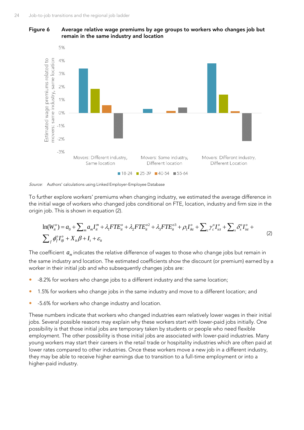<span id="page-27-0"></span>**Figure 6 Average relative wage premiums by age groups to workers who changes job but remain in the same industry and location**



Source: Authors' calculations using Linked Employer-Employee Database

To further explore workers' premiums when changing industry, we estimated the average difference in the initial wage of workers who changed jobs conditional on FTE, location, industry and firm size in the origin job. This is shown in equation (2).<br>  $\ln(W_{it}^o) = a_0 + \sum_m a_m I_{it}^m + \lambda_1 FTE_{it}^o + \lambda_2 FTE_{it}^{o2} + \lambda_3 FTE_{it}^{o3} + \rho_1 I$ origin job. This is shown in equation (2). vorkers' premiums when changing industry, we estimated the average difference in<br>orkers who changed jobs conditional on FTE, location, industry and firm size in the<br>own in equation (2).<br> $\sum_{m} a_m I_{ii}^{m} + \lambda_1 FTE_{ii}^{o} + \lambda_2 FTE$ 

<span id="page-27-1"></span>n job. This is shown in equation (2).  
\n
$$
\ln(W_{ii}^o) = a_0 + \sum_m a_m I_{ii}^m + \lambda_1 F T E_{ii}^o + \lambda_2 F T E_{ii}^{o2} + \lambda_3 F T E_{ii}^{o3} + \rho_1 I_{ikt}^o + \sum_c \gamma_c^o I_{ict}^o + \sum_s \delta_s^o I_{ist}^o + \sum_{f} \phi_f^o I_{if}^o + X_{it} \beta + I_t + \varepsilon_{it}
$$
\n(2)

The coefficient  $\,a_{_{m}}$  indicates the relative difference of wages to those who change jobs but remain in the same industry and location. The estimated coefficients show the discount (or premium) earned by a worker in their initial job and who subsequently changes jobs are:

- -8.2% for workers who change jobs to a different industry and the same location;
- **1.5% for workers who change jobs in the same industry and move to a different location; and**
- -5.6% for workers who change industry and location.

These numbers indicate that workers who changed industries earn relatively lower wages in their initial jobs. Several possible reasons may explain why these workers start with lower-paid jobs initially. One possibility is that those initial jobs are temporary taken by students or people who need flexible employment. The other possibility is those initial jobs are associated with lower-paid industries. Many young workers may start their careers in the retail trade or hospitality industries which are often paid at lower rates compared to other industries. Once these workers move a new job in a different industry, they may be able to receive higher earnings due to transition to a full-time employment or into a higher-paid industry.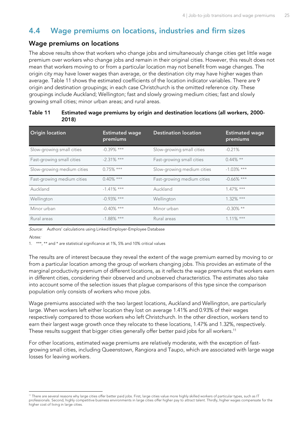## <span id="page-28-0"></span>**4.4 Wage premiums on locations, industries and firm sizes**

#### **Wage premiums on locations**

The above results show that workers who change jobs and simultaneously change cities get little wage premium over workers who change jobs and remain in their original cities. However, this result does not mean that workers moving to or from a particular location may not benefit from wage changes. The origin city may have lower wages than average, or the destination city may have higher wages than average. [Table 11](#page-28-1) shows the estimated coefficients of the location indicator variables. There are 9 origin and destination groupings; in each case Christchurch is the omitted reference city. These groupings include Auckland; Wellington; fast and slowly growing medium cities; fast and slowly growing small cities; minor urban areas; and rural areas.

| <b>Origin location</b>     | <b>Estimated wage</b><br>premiums | <b>Destination location</b> | <b>Estimated wage</b><br>premiums |
|----------------------------|-----------------------------------|-----------------------------|-----------------------------------|
| Slow-growing small cities  | $-0.39\%$ ***                     | Slow-growing small cities   | $-0.21%$                          |
| Fast-growing small cities  | $-2.31\%$ ***                     | Fast-growing small cities   | $0.44\%$ **                       |
| Slow-growing medium cities | $0.75\%$ ***                      | Slow-growing medium cities  | $-1.03\%$ ***                     |
| Fast-growing medium cities | $0.40\%$ ***                      | Fast-growing medium cities  | $-0.66\%$ ***                     |
| Auckland                   | $-1.41\%$ ***                     | Auckland                    | $1.47\%$ ***                      |
| Wellington                 | $-0.93\%$ ***                     | Wellington                  | $1.32\%$ ***                      |
| Minor urban                | $-0.40\%$ ***                     | Minor urban                 | $-0.30\%$ **                      |
| Rural areas                | $-1.88\%$ ***                     | Rural areas                 | $1.11\%$ ***                      |

<span id="page-28-1"></span>

| Table 11 | Estimated wage premiums by origin and destination locations (all workers, 2000- |  |
|----------|---------------------------------------------------------------------------------|--|
|          | 2018)                                                                           |  |

Source: Authors' calculations using Linked Employer-Employee Database

Notes:

1. \*\*\*, \*\* and \* are statistical significance at 1%, 5% and 10% critical values

The results are of interest because they reveal the extent of the wage premium earned by moving to or from a particular location among the group of workers changing jobs. This provides an estimate of the marginal productivity premium of different locations, as it reflects the wage premiums that workers earn in different cities, considering their observed and unobserved characteristics. The estimates also take into account some of the selection issues that plague comparisons of this type since the comparison population only consists of workers who move jobs.

Wage premiums associated with the two largest locations, Auckland and Wellington, are particularly large. When workers left either location they lost on average 1.41% and 0.93% of their wages respectively compared to those workers who left Christchurch. In the other direction, workers tend to earn their largest wage growth once they relocate to these locations, 1.47% and 1.32%, respectively. These results suggest that bigger cities generally offer better paid jobs for all workers. 11

For other locations, estimated wage premiums are relatively moderate, with the exception of fastgrowing small cities, including Queenstown, Rangiora and Taupo, which are associated with large wage losses for leaving workers.

<sup>11</sup> There are several reasons why large cities offer better paid jobs. First, large cities value more highly skilled workers of particular types, such as IT professionals. Second, highly competitive business environments in large cities offer higher pay to attract talent. Thirdly, higher wages compensate for the higher cost of living in large cities.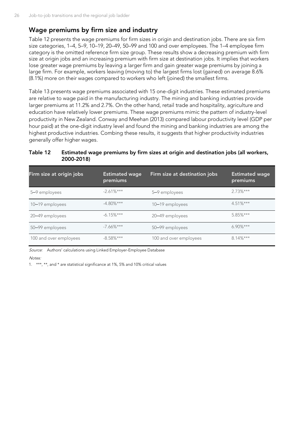#### **Wage premiums by firm size and industry**

[Table 12](#page-29-0) presents the wage premiums for firm sizes in origin and destination jobs. There are six firm size categories, 1–4, 5–9, 10–19, 20–49, 50–99 and 100 and over employees. The 1–4 employee firm category is the omitted reference firm size group. These results show a decreasing premium with firm size at origin jobs and an increasing premium with firm size at destination jobs. It implies that workers lose greater wage premiums by leaving a larger firm and gain greater wage premiums by joining a large firm. For example, workers leaving (moving to) the largest firms lost (gained) on average 8.6% (8.1%) more on their wages compared to workers who left (joined) the smallest firms.

[Table 13](#page-30-0) presents wage premiums associated with 15 one-digit industries. These estimated premiums are relative to wage paid in the manufacturing industry. The mining and banking industries provide larger premiums at 11.2% and 2.7%. On the other hand, retail trade and hospitality, agriculture and education have relatively lower premiums. These wage premiums mimic the pattern of industry-level productivity in New Zealand. Conway and Meehan (2013) compared labour productivity level (GDP per hour paid) at the one-digit industry level and found the mining and banking industries are among the highest productive industries. Combing these results, it suggests that higher productivity industries generally offer higher wages.

#### <span id="page-29-0"></span>**Table 12 Estimated wage premiums by firm sizes at origin and destination jobs (all workers, 2000-2018)**

| Firm size at origin jobs | <b>Estimated wage</b><br>premiums | Firm size at destination jobs | <b>Estimated wage</b><br>premiums |
|--------------------------|-----------------------------------|-------------------------------|-----------------------------------|
| 5–9 employees            | $-2.61%***$                       | 5–9 employees                 | $2.73\%***$                       |
| 10–19 employees          | $-4.80\%***$                      | 10–19 employees               | $4.51\%***$                       |
| 20-49 employees          | $-6.15%$ ***                      | 20-49 employees               | $5.85\%***$                       |
| 50-99 employees          | $-7.66\%***$                      | 50-99 employees               | $6.90\%***$                       |
| 100 and over employees   | $-8.58\%***$                      | 100 and over employees        | $8.14\%***$                       |

Source: Authors' calculations using Linked Employer-Employee Database

#### Notes:

1. \*\*\*, \*\*, and \* are statistical significance at 1%, 5% and 10% critical values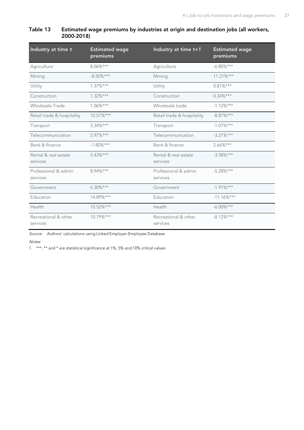#### <span id="page-30-0"></span>**Table 13 Estimated wage premiums by industries at origin and destination jobs (all workers, 2000-2018)**

| Industry at time t               | <b>Estimated wage</b><br>premiums | Industry at time $t+1$           | <b>Estimated wage</b><br>premiums |
|----------------------------------|-----------------------------------|----------------------------------|-----------------------------------|
| Agriculture                      | $8.06\%***$                       | Agriculture                      | $-6.80\%***$                      |
| Mining                           | $-8.50\%***$                      | Mining                           | $11.21\%***$                      |
| Utility                          | $1.37\%***$                       | Utility                          | $0.81\%***$                       |
| Construction                     | $1.32\%***$                       | Construction                     | $0.34\%***$                       |
| Wholesale Trade                  | $1.06\%***$                       | Wholesale trade                  | $-1.12\%***$                      |
| Retail trade & hospitality       | 10.57%***                         | Retail trade & hospitality       | $-8.87\%***$                      |
| Transport                        | $3.34\%***$                       | Transport                        | $-1.07\%***$                      |
| Telecommunication                | $5.97\%***$                       | Telecommunication                | $-3.21%***$                       |
| Bank & finance                   | $-1.80\%***$                      | Bank & finance                   | $2.66\%***$                       |
| Rental & real estate<br>services | $5.43\%***$                       | Rental & real estate<br>services | $-3.58%***$                       |
| Professional & admin<br>services | 8.94%***                          | Professional & admin<br>services | $-5.28%***$                       |
| Government                       | $6.30\%***$                       | Government                       | $-1.91%***$                       |
| Education                        | 14.89%***                         | Education                        | $-11.16%***$                      |
| Health                           | 10.52%***                         | Health                           | $-6.00\%***$                      |
| Recreational & other<br>services | 10.79%***                         | Recreational & other<br>services | $-8.12%***$                       |

Source: Authors' calculations using Linked Employer-Employee Database

#### Notes:

1. \*\*\*, \*\* and \* are statistical significance at 1%, 5% and 10% critical values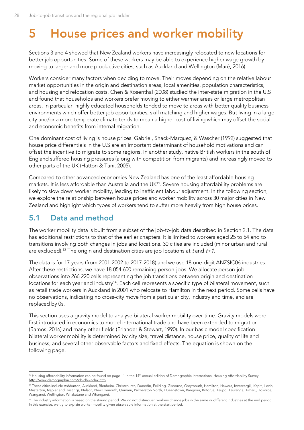## <span id="page-31-0"></span>**5 House prices and worker mobility**

Sections 3 and 4 showed that New Zealand workers have increasingly relocated to new locations for better job opportunities. Some of these workers may be able to experience higher wage growth by moving to larger and more productive cities, such as Auckland and Wellington (Maré, 2016).

Workers consider many factors when deciding to move. Their moves depending on the relative labour market opportunities in the origin and destination areas, local amenities, population characteristics, and housing and relocation costs. Chen & Rosenthal (2008) studied the inter-state migration in the U.S and found that households and workers prefer moving to either warmer areas or large metropolitan areas. In particular, highly educated households tended to move to areas with better quality business environments which offer better job opportunities, skill matching and higher wages. But living in a large city and/or a more temperate climate tends to mean a higher cost of living which may offset the social and economic benefits from internal migration.

One dominant cost of living is house prices. Gabriel, Shack-Marquez, & Wascher (1992) suggested that house price differentials in the U.S are an important determinant of household motivations and can offset the incentive to migrate to some regions. In another study, native British workers in the south of England suffered housing pressures (along with competition from migrants) and increasingly moved to other parts of the UK (Hatton & Tani, 2005).

Compared to other advanced economies New Zealand has one of the least affordable housing markets. It is less affordable than Australia and the UK<sup>12</sup>. Severe housing affordability problems are likely to slow down worker mobility, leading to inefficient labour adjustment. In the following section, we explore the relationship between house prices and worker mobility across 30 major cities in New Zealand and highlight which types of workers tend to suffer more heavily from high house prices.

## <span id="page-31-1"></span>**5.1 Data and method**

The worker mobility data is built from a subset of the job-to-job data described in Section 2.1. The data has additional restrictions to that of the earlier chapters. It is limited to workers aged 25 to 54 and to transitions involving both changes in jobs and locations. 30 cities are included (minor urban and rural are excluded).<sup>13</sup> The origin and destination cities are job locations at t and  $t+1$ .

The data is for 17 years (from 2001-2002 to 2017-2018) and we use 18 one-digit ANZSIC06 industries. After these restrictions, we have 18 054 600 remaining person-jobs. We allocate person-job observations into 266 220 cells representing the job transitions between origin and destination locations for each year and industry<sup>14</sup>. Each cell represents a specific type of bilateral movement, such as retail trade workers in Auckland in 2001 who relocate to Hamilton in the next period. Some cells have no observations, indicating no cross-city move from a particular city, industry and time, and are replaced by 0s.

This section uses a gravity model to analyse bilateral worker mobility over time. Gravity models were first introduced in economics to model international trade and have been extended to migration (Ramos, 2016) and many other fields (Erlander & Stewart, 1990). In our basic model specification bilateral worker mobility is determined by city size, travel distance, house price, quality of life and business, and several other observable factors and fixed-effects. The equation is shown on the following page.

 $12$  Housing affordability information can be found on page 11 in the  $14<sup>th</sup>$  annual edition of Demographia International Housing Affordability Survey <http://www.demographia.com/db-dhi-index.htm>

<sup>13</sup> These cities include Ashburton, Auckland, Blenheim, Christchurch, Dunedin, Feilding, Gisborne, Greymouth, Hamilton, Hawera, Invercargill, Kapiti, Levin, Masterton, Napier and Hastings, Nelson, New Plymouth, Oamaru, Palmerston North, Queenstown, Rangiora, Rotorua, Taupo, Tauranga, Timaru, Tokoroa, Wanganui, Wellington, Whakatane and Whangarei.

<sup>&</sup>lt;sup>14</sup> The industry information is based on the staring period. We do not distinguish workers change jobs in the same or different industries at the end period. In this exercise, we try to explain worker mobility given observable information at the start period.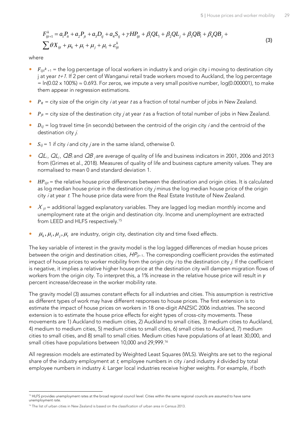<span id="page-32-0"></span>
$$
F_{ijt+1}^k = a_1 P_{it} + a_2 P_{jt} + a_3 D_{ij} + a_4 S_{ij} + \gamma H P_{ijt} + \beta_1 Q L_i + \beta_2 Q L_j + \beta_3 Q B_i + \beta_4 Q B_j +
$$
\n
$$
\sum \theta X_{ijt} + \mu_k + \mu_i + \mu_j + \mu_t + \varepsilon_{ijt}^k
$$
\n(3)

where

- $\bullet$   $F_{ijt^k+1}$  = the log percentage of local workers in industry k and origin city i moving to destination city j at year  $t+1$ . If 2 per cent of Wanganui retail trade workers moved to Auckland, the log percentage  $=$  ln(0.02 x 100%)  $\approx$  0.693. For zeros, we impute a very small positive number, log(0.000001), to make them appear in regression estimations.
- $\bullet$   $P_{it}$  = city size of the origin city *i* at year t as a fraction of total number of jobs in New Zealand.
- $\bullet$   $P_{jt}$  = city size of the destination city *j* at year *t* as a fraction of total number of jobs in New Zealand.
- $\bullet$   $D_{ij}$  = log travel time (in seconds) between the centroid of the origin city *i* and the centroid of the destination city i.
- $S_{ii}$  = 1 if city *i* and city *j* are in the same island, otherwise 0.
- $QL_i$ ,  $QL_i$ ,  $QB_i$  and  $QB_i$  are average of quality of life and business indicators in 2001, 2006 and 2013 from (Grimes et al., 2018). Measures of quality of life and business capture amenity values. They are normalised to mean 0 and standard deviation 1.
- $\bullet$   $HP_{iit}$  = the relative house price differences between the destination and origin cities. It is calculated as log median house price in the destination city *j* minus the log median house price of the origin city  $i$  at year  $t$ . The house price data were from the Real Estate Institute of New Zealand.
- $\bullet$   $X_{ijt}$  = additional lagged explanatory variables. They are lagged log median monthly income and unemployment rate at the origin and destination city. Income and unemployment are extracted from LEED and HLFS respectively.<sup>15</sup>
- $\bm{\mu}_k$ ,  $\bm{\mu}_i$ ,  $\bm{\mu}_j$ ,  $\bm{\mu}_t$  are industry, origin city, destination city and time fixed effects.

The key variable of interest in the gravity model is the log lagged differences of median house prices between the origin and destination cities,  $HP_{ijt-1}$ . The corresponding coefficient provides the estimated impact of house prices to worker mobility from the origin city *i* to the destination city *i*. If the coefficient is negative, it implies a relative higher house price at the destination city will dampen migration flows of workers from the origin city. To interpret this, a 1% increase in the relative house price will result in  $\gamma$ percent increase/decrease in the worker mobility rate.

The gravity model [\(3\)](#page-32-0) assumes constant effects for all industries and cities. This assumption is restrictive as different types of work may have different responses to house prices. The first extension is to estimate the impact of house prices on workers in 18 one-digit ANZSIC 2006 industries. The second extension is to estimate the house price effects for eight types of cross-city movements. These movements are 1) Auckland to medium cities, 2) Auckland to small cities, 3) medium cities to Auckland, 4) medium to medium cities, 5) medium cities to small cities, 6) small cities to Auckland, 7) medium cities to small cities, and 8) small to small cities. Medium cities have populations of at least 30,000, and small cities have populations between 10,000 and 29,999. 16

All regression models are estimated by Weighted Least Squares (WLS). Weights are set to the regional share of the industry employment at  $t$ , employee numbers in city *i* and industry  $k$  divided by total employee numbers in industry k. Larger local industries receive higher weights. For example, if both

<sup>&</sup>lt;sup>15</sup> HLFS provides unemployment rates at the broad regional council level. Cities within the same regional councils are assumed to have same unemployment rate.

<sup>&</sup>lt;sup>16</sup> The list of urban cities in New Zealand is based on the classification of urban area in Census 2013.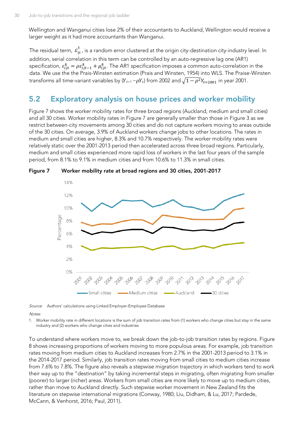Wellington and Wanganui cities lose 2% of their accountants to Auckland, Wellington would receive a larger weight as it had more accountants than Wanganui.

The residual term,  $\bm{\mathcal{E}}^{k}_{ijt}$  , is a random error clustered at the origin city-destination city-industry level. In addition, serial correlation in this term can be controlled by an auto-regressive lag one (AR1) specification,  $\varepsilon_{ijt}^k = \rho \varepsilon_{ijt-1}^k + \mu_{ijt}^k$ . The AR1 specification imposes a common auto-correlation in the data. We use the the Prais-Winsten estimation (Prais and Winsten, 1954) into WLS. The Praise-Winsten transforms all time-variant variables by ( $Y_{t+1}-\rho Y_t)$  from 2002 and  $\sqrt{1-\rho^2 Y_{t=2001}}$  in year 2001.

### <span id="page-33-0"></span>**5.2 Exploratory analysis on house prices and worker mobility**

[Figure 7](#page-33-1) shows the worker mobility rates for three broad regions (Auckland, medium and small cities) and all 30 cities. Worker mobility rates in [Figure 7](#page-33-1) are generally smaller than those in [Figure 3](#page-18-1) as we restrict between-city movements among 30 cities and do not capture workers moving to areas outside of the 30 cities. On average, 3.9% of Auckland workers change jobs to other locations. The rates in medium and small cities are higher, 8.3% and 10.7% respectively. The worker mobility rates were relatively static over the 2001-2013 period then accelerated across three broad regions. Particularly, medium and small cities experienced more rapid loss of workers in the last four years of the sample period, from 8.1% to 9.1% in medium cities and from 10.6% to 11.3% in small cities.



<span id="page-33-1"></span>**Figure 7 Worker mobility rate at broad regions and 30 cities, 2001-2017**

Source: Authors' calculations using Linked Employer-Employee Database

Notes:

1. Worker mobility rate in different locations is the sum of job transition rates from (1) workers who change cities but stay in the same industry and (2) workers who change cities and industries

To understand where workers move to, we break down the job-to-job transition rates by regions. [Figure](#page-34-0)  [8](#page-34-0) shows increasing proportions of workers moving to more populous areas. For example, job transition rates moving from medium cities to Auckland increases from 2.7% in the 2001-2013 period to 3.1% in the 2014-2017 period. Similarly, job transition rates moving from small cities to medium cities increase from 7.6% to 7.8%. The figure also reveals a stepwise migration trajectory in which workers tend to work their way up to the "destination" by taking incremental steps in migrating, often migrating from smaller (poorer) to larger (richer) areas. Workers from small cities are more likely to move up to medium cities, rather than move to Auckland directly. Such stepwise worker movement in New Zealand fits the literature on stepwise international migrations (Conway, 1980; Liu, Didham, & Lu, 2017; Pardede, McCann, & Venhorst, 2016; Paul, 2011).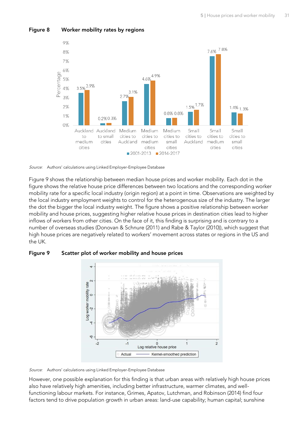

#### <span id="page-34-0"></span>**Figure 8 Worker mobility rates by regions**



[Figure 9](#page-34-1) shows the relationship between median house prices and worker mobility. Each dot in the figure shows the relative house price differences between two locations and the corresponding worker mobility rate for a specific local industry (origin region) at a point in time. Observations are weighted by the local industry employment weights to control for the heterogenous size of the industry. The larger the dot the bigger the local industry weight. The figure shows a positive relationship between worker mobility and house prices, suggesting higher relative house prices in destination cities lead to higher inflows of workers from other cities. On the face of it, this finding is surprising and is contrary to a number of overseas studies (Donovan & Schnure (2011) and Rabe & Taylor (2010)), which suggest that high house prices are negatively related to workers' movement across states or regions in the US and the UK.



<span id="page-34-1"></span>**Figure 9 Scatter plot of worker mobility and house prices**

Source: Authors' calculations using Linked Employer-Employee Database

However, one possible explanation for this finding is that urban areas with relatively high house prices also have relatively high amenities, including better infrastructure, warmer climates, and wellfunctioning labour markets. For instance, Grimes, Apatov, Lutchman, and Robinson (2014) find four factors tend to drive population growth in urban areas: land-use capability; human capital; sunshine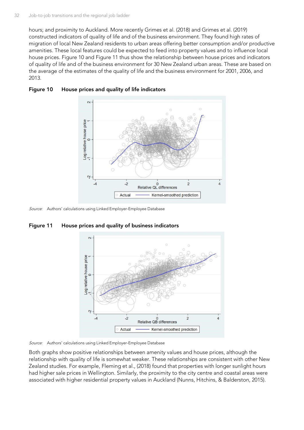hours; and proximity to Auckland. More recently Grimes et al. (2018) and Grimes et al. (2019) constructed indicators of quality of life and of the business environment. They found high rates of migration of local New Zealand residents to urban areas offering better consumption and/or productive amenities. These local features could be expected to feed into property values and to influence local house prices. Figure 10 and [Figure 11](#page-35-1) thus show the relationship between house prices and indicators of quality of life and of the business environment for 30 New Zealand urban areas. These are based on the average of the estimates of the quality of life and the business environment for 2001, 2006, and 2013.



#### <span id="page-35-0"></span>**Figure 10 House prices and quality of life indicators**

Source: Authors' calculations using Linked Employer-Employee Database



<span id="page-35-1"></span>**Figure 11 House prices and quality of business indicators**

Source: Authors' calculations using Linked Employer-Employee Database

Both graphs show positive relationships between amenity values and house prices, although the relationship with quality of life is somewhat weaker. These relationships are consistent with other New Zealand studies. For example, Fleming et al., (2018) found that properties with longer sunlight hours had higher sale prices in Wellington. Similarly, the proximity to the city centre and coastal areas were associated with higher residential property values in Auckland (Nunns, Hitchins, & Balderston, 2015).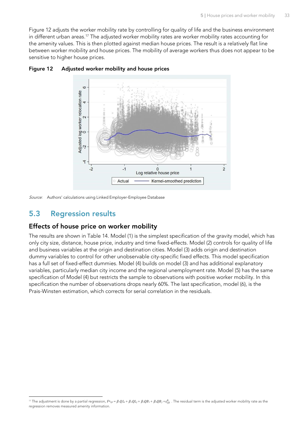[Figure](#page-36-1) 12 adjusts the worker mobility rate by controlling for quality of life and the business environment in different urban areas.<sup>17</sup> The adjusted worker mobility rates are worker mobility rates accounting for the amenity values. This is then plotted against median house prices. The result is a relatively flat line between worker mobility and house prices. The mobility of average workers thus does not appear to be sensitive to higher house prices.



#### <span id="page-36-1"></span>**Figure 12 Adjusted worker mobility and house prices**

Source: Authors' calculations using Linked Employer-Employee Database

### <span id="page-36-0"></span>**5.3 Regression results**

#### **Effects of house price on worker mobility**

The results are shown in Table 14. Model (1) is the simplest specification of the gravity model, which has only city size, distance, house price, industry and time fixed-effects. Model (2) controls for quality of life and business variables at the origin and destination cities. Model (3) adds origin and destination dummy variables to control for other unobservable city-specific fixed effects. This model specification has a full set of fixed-effect dummies. Model (4) builds on model (3) and has additional explanatory variables, particularly median city income and the regional unemployment rate. Model (5) has the same specification of Model (4) but restricts the sample to observations with positive worker mobility. In this specification the number of observations drops nearly 60%. The last specification, model (6), is the Prais-Winsten estimation, which corrects for serial correlation in the residuals.

<sup>&</sup>lt;sup>17</sup> The adjustment is done by a partial regression,  $F_{ijt} = \beta_1 Q L_i + \beta_2 Q B_i + \beta_3 Q B_i + \beta_4 Q B_j + \varepsilon_{ijt}^k$ . The residual term is the adjusted worker mobility rate as the regression removes measured amenity information.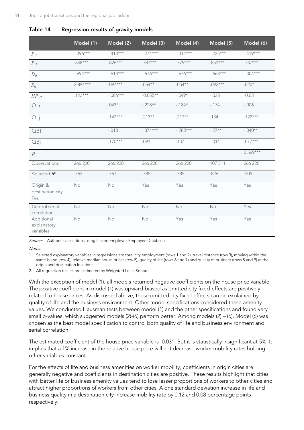|                                        | Model (1)  | Model (2)  | Model (3)  | Model (4)   | Model (5)   | Model (6)  |
|----------------------------------------|------------|------------|------------|-------------|-------------|------------|
| $P_{it}$                               | $-.396***$ | $-413***$  | $-274***$  | $-314***$   | $-.225***$  | $-.419***$ |
| $P_{jt}$                               | $.848***$  | $.826***$  | $.787***$  | .779***     | $.851***$   | $.737***$  |
| $D_{ij}$                               | $-694***$  | $-613***$  | $-676***$  | $-0.676***$ | $-0.668***$ | $-.304***$ |
| $S_{ij}$                               | $2.894***$ | $.097***$  | $.054***$  | $.054***$   | $.092***$   | $.020*$    |
| $HP_{ijt}$                             | $.143***$  | $-.086***$ | $-0.055**$ | $-.049*$    | $-.038$     | $-0.031$   |
| QLi                                    |            | $.043*$    | $-.228**$  | $-184*$     | $-.174$     | $-0.006$   |
| QLj                                    |            | $.147***$  | $.213**$   | $.217**$    | .134        | $.122***$  |
| QBi                                    |            | $-.013$    | $-.374***$ | $-.283***$  | $-.274*$    | $-.040**$  |
| QBj                                    |            | $.170***$  | .091       | .107        | $-.014$     | $.077***$  |
| $\rho$                                 |            |            |            |             |             | $0.569***$ |
| Observations                           | 266 220    | 266 220    | 266 220    | 266 220     | 107 311     | 266 220    |
| Adjusted $R^2$                         | .763       | .767       | .785       | .785        | .826        | .505       |
| Origin &<br>destination city<br>Fes    | No         | No         | Yes        | Yes         | Yes         | Yes        |
| Control serial<br>correlation          | No         | No         | No         | No          | No          | Yes        |
| Additional<br>explanatory<br>variables | No         | No         | No         | Yes         | Yes         | Yes        |

<span id="page-37-0"></span>

|  | Table 14 | Regression results of gravity models |  |  |  |  |
|--|----------|--------------------------------------|--|--|--|--|
|--|----------|--------------------------------------|--|--|--|--|

Source: Authors' calculations using Linked Employer-Employee Database

 $N$  $$ 

1. Selected explanatory variables in regressions are total city employment (rows 1 and 2), travel distance (row 3), moving within the same island (row 4), relative median house prices (row 5), quality of life (rows 6 and 7) and quality of business (rows 8 and 9) at the origin and destination locations

2. All regression results are estimated by Weighted Least Square

With the exception of model (1), all models returned negative coefficients on the house price variable. The positive coefficient in model (1) was upward-biased as omitted city fixed-effects are positively related to house prices. As discussed above, these omitted city fixed-effects can be explained by quality of life and the business environment. Other model specifications considered these amenity values. We conducted Hausman tests between model (1) and the other specifications and found very small p-values, which suggested models (2)-(6) perform better. Among models (2) – (6), Model (6) was chosen as the best model specification to control both quality of life and business environment and serial correlation.

The estimated coefficient of the house price variable is -0.031. But it is statistically insignificant at 5%. It implies that a 1% increase in the relative house price will not decrease worker mobility rates holding other variables constant.

For the effects of life and business amenities on worker mobility, coefficients in origin cities are generally negative and coefficients in destination cities are positive. These results highlight that cities with better life or business amenity values tend to lose lesser proportions of workers to other cities and attract higher proportions of workers from other cities. A one standard deviation increase in life and business quality in a destination city increase mobility rate by 0.12 and 0.08 percentage points respectively.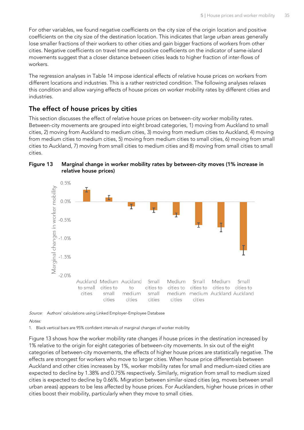For other variables, we found negative coefficients on the city size of the origin location and positive coefficients on the city size of the destination location. This indicates that large urban areas generally lose smaller fractions of their workers to other cities and gain bigger fractions of workers from other cities. Negative coefficients on travel time and positive coefficients on the indicator of same-island movements suggest that a closer distance between cities leads to higher fraction of inter-flows of workers.

The regression analyses in Table 14 impose identical effects of relative house prices on workers from different locations and industries. This is a rather restricted condition. The following analyses relaxes this condition and allow varying effects of house prices on worker mobility rates by different cities and industries.

### **The effect of house prices by cities**

This section discusses the effect of relative house prices on between-city worker mobility rates. Between-city movements are grouped into eight broad categories, 1) moving from Auckland to small cities, 2) moving from Auckland to medium cities, 3) moving from medium cities to Auckland, 4) moving from medium cities to medium cities, 5) moving from medium cities to small cities, 6) moving from small cities to Auckland, 7) moving from small cities to medium cities and 8) moving from small cities to small cities.



<span id="page-38-0"></span>

Source: Authors' calculations using Linked Employer-Employee Database

Notes:

1. Black vertical bars are 95% confident intervals of marginal changes of worker mobility

Figure 13 shows how the worker mobility rate changes if house prices in the destination increased by 1% relative to the origin for eight categories of between-city movements. In six out of the eight categories of between-city movements, the effects of higher house prices are statistically negative. The effects are strongest for workers who move to larger cities. When house price differentials between Auckland and other cities increases by 1%, worker mobility rates for small and medium-sized cities are expected to decline by 1.38% and 0.75% respectively. Similarly, migration from small to medium sized cities is expected to decline by 0.66%. Migration between similar-sized cities (eg, moves between small urban areas) appears to be less affected by house prices. For Aucklanders, higher house prices in other cities boost their mobility, particularly when they move to small cities.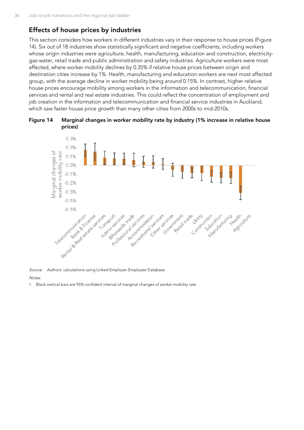### **Effects of house prices by industries**

This section considers how workers in different industries vary in their response to house prices [\(Figure](#page-39-0)  [14\)](#page-39-0). Six out of 18 industries show statistically significant and negative coefficients, including workers whose origin industries were agriculture, health, manufacturing, education and construction, electricitygas-water, retail trade and public administration and safety industries. Agriculture workers were most affected, where worker mobility declines by 0.35% if relative house prices between origin and destination cities increase by 1%. Health, manufacturing and education workers are next most affected group, with the average decline in worker mobility being around 0.15%. In contrast, higher relative house prices encourage mobility among workers in the information and telecommunication, financial services and rental and real estate industries. This could reflect the concentration of employment and job creation in the information and telecommunication and financial service industries in Auckland, which saw faster house price growth than many other cities from 2000s to mid-2010s.

<span id="page-39-0"></span>



Source: Authors' calculations using Linked Employer-Employee Database

**Notes** 

1. Black vertical bars are 95% confident interval of marginal changes of worker mobility rate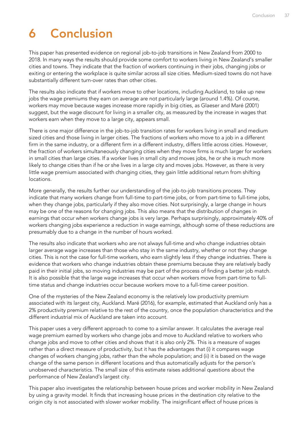## <span id="page-40-0"></span>**6 Conclusion**

This paper has presented evidence on regional job-to-job transitions in New Zealand from 2000 to 2018. In many ways the results should provide some comfort to workers living in New Zealand's smaller cities and towns. They indicate that the fraction of workers continuing in their jobs, changing jobs or exiting or entering the workplace is quite similar across all size cities. Medium-sized towns do not have substantially different turn-over rates than other cities.

The results also indicate that if workers move to other locations, including Auckland, to take up new jobs the wage premiums they earn on average are not particularly large (around 1.4%). Of course, workers may move because wages increase more rapidly in big cities, as Glaeser and Maré (2001) suggest, but the wage discount for living in a smaller city, as measured by the increase in wages that workers earn when they move to a large city, appears small.

There is one major difference in the job-to-job transition rates for workers living in small and medium sized cities and those living in larger cities. The fractions of workers who move to a job in a different firm in the same industry, or a different firm in a different industry, differs little across cities. However, the fraction of workers simultaneously changing cities when they move firms is much larger for workers in small cities than large cities. If a worker lives in small city and moves jobs, he or she is much more likely to change cities than if he or she lives in a large city and moves jobs. However, as there is very little wage premium associated with changing cities, they gain little additional return from shifting locations.

More generally, the results further our understanding of the job-to-job transitions process. They indicate that many workers change from full-time to part-time jobs, or from part-time to full-time jobs, when they change jobs, particularly if they also move cities. Not surprisingly, a large change in hours may be one of the reasons for changing jobs. This also means that the distribution of changes in earnings that occur when workers change jobs is very large. Perhaps surprisingly, approximately 40% of workers changing jobs experience a reduction in wage earnings, although some of these reductions are presumably due to a change in the number of hours worked.

The results also indicate that workers who are not always full-time and who change industries obtain larger average wage increases than those who stay in the same industry, whether or not they change cities. This is not the case for full-time workers, who earn slightly less if they change industries. There is evidence that workers who change industries obtain these premiums because they are relatively badly paid in their initial jobs, so moving industries may be part of the process of finding a better job match. It is also possible that the large wage increases that occur when workers move from part-time to fulltime status and change industries occur because workers move to a full-time career position.

One of the mysteries of the New Zealand economy is the relatively low productivity premium associated with its largest city, Auckland. Maré (2016), for example, estimated that Auckland only has a 2% productivity premium relative to the rest of the country, once the population characteristics and the different industrial mix of Auckland are taken into account.

This paper uses a very different approach to come to a similar answer. It calculates the average real wage premium earned by workers who change jobs and move to Auckland relative to workers who change jobs and move to other cities and shows that it is also only 2%. This is a measure of wages rather than a direct measure of productivity, but it has the advantages that (i) it compares wage changes of workers changing jobs, rather than the whole population; and (ii) it is based on the wage change of the same person in different locations and thus automatically adjusts for the person's unobserved characteristics. The small size of this estimate raises additional questions about the performance of New Zealand's largest city.

This paper also investigates the relationship between house prices and worker mobility in New Zealand by using a gravity model. It finds that increasing house prices in the destination city relative to the origin city is not associated with slower worker mobility. The insignificant effect of house prices is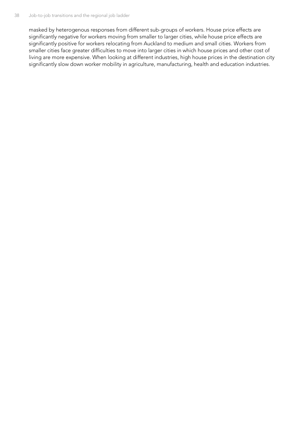masked by heterogenous responses from different sub-groups of workers. House price effects are significantly negative for workers moving from smaller to larger cities, while house price effects are significantly positive for workers relocating from Auckland to medium and small cities. Workers from smaller cities face greater difficulties to move into larger cities in which house prices and other cost of living are more expensive. When looking at different industries, high house prices in the destination city significantly slow down worker mobility in agriculture, manufacturing, health and education industries.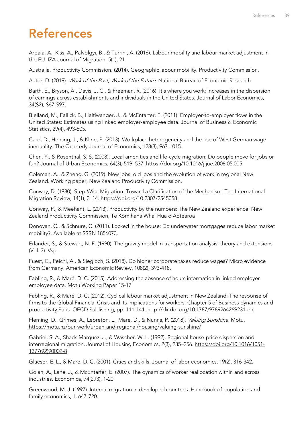## <span id="page-42-0"></span>**References**

Arpaia, A., Kiss, A., Palvolgyi, B., & Turrini, A. (2016). Labour mobility and labour market adjustment in the EU. IZA Journal of Migration, 5(1), 21.

Australia. Productivity Commission. (2014). Geographic labour mobility. Productivity Commission.

Autor, D. (2019). Work of the Past, Work of the Future. National Bureau of Economic Research.

Barth, E., Bryson, A., Davis, J. C., & Freeman, R. (2016). It's where you work: Increases in the dispersion of earnings across establishments and individuals in the United States. Journal of Labor Economics, 34(S2), S67-S97.

Bjelland, M., Fallick, B., Haltiwanger, J., & McEntarfer, E. (2011). Employer-to-employer flows in the United States: Estimates using linked employer-employee data. Journal of Business & Economic Statistics, 29(4), 493-505.

Card, D., Heining, J., & Kline, P. (2013). Workplace heterogeneity and the rise of West German wage inequality. The Quarterly Journal of Economics, 128(3), 967-1015.

Chen, Y., & Rosenthal, S. S. (2008). Local amenities and life-cycle migration: Do people move for jobs or fun? Journal of Urban Economics, 64(3), 519–537.<https://doi.org/10.1016/j.jue.2008.05.005>

Coleman, A., & Zheng, G. (2019). New jobs, old jobs and the evolution of work in regional New Zealand. Working paper, New Zealand Productivity Commission.

Conway, D. (1980). Step-Wise Migration: Toward a Clarification of the Mechanism. The International Migration Review, 14(1), 3–14.<https://doi.org/10.2307/2545058>

Conway, P., & Meehant, L. (2013). Productivity by the numbers: The New Zealand experience. New Zealand Productivity Commission, Te Kōmihana Whai Hua o Aotearoa

Donovan, C., & Schnure, C. (2011). Locked in the house: Do underwater mortgages reduce labor market mobility?. Available at SSRN 1856073.

Erlander, S., & Stewart, N. F. (1990). The gravity model in transportation analysis: theory and extensions (Vol. 3). Vsp.

Fuest, C., Peichl, A., & Siegloch, S. (2018). Do higher corporate taxes reduce wages? Micro evidence from Germany. American Economic Review, 108(2), 393-418.

Fabling, R., & Maré, D. C. (2015). Addressing the absence of hours information in linked employeremployee data. Motu Working Paper 15-17

Fabling, R., & Maré, D. C. (2012). Cyclical labour market adjustment in New Zealand: The response of firms to the Global Financial Crisis and its implications for workers. Chapter 5 of Business dynamics and productivity Paris: OECD Publishing, pp. 111-141. <http://dx.doi.org/10.1787/9789264269231-en>

Fleming, D., Grimes, A., Lebreton, L., Mare, D., & Nunns, P. (2018). Valuing Sunshine. Motu. <https://motu.nz/our-work/urban-and-regional/housing/valuing-sunshine/>

Gabriel, S. A., Shack-Marquez, J., & Wascher, W. L. (1992). Regional house-price dispersion and interregional migration. Journal of Housing Economics, 2(3), 235–256. [https://doi.org/10.1016/1051-](https://doi.org/10.1016/1051-1377(92)90002-8) [1377\(92\)90002-8](https://doi.org/10.1016/1051-1377(92)90002-8)

Glaeser, E. L., & Mare, D. C. (2001). Cities and skills. Journal of labor economics, 19(2), 316-342.

Golan, A., Lane, J., & McEntarfer, E. (2007). The dynamics of worker reallocation within and across industries. Economica, 74(293), 1-20.

Greenwood, M. J. (1997). Internal migration in developed countries. Handbook of population and family economics, 1, 647-720.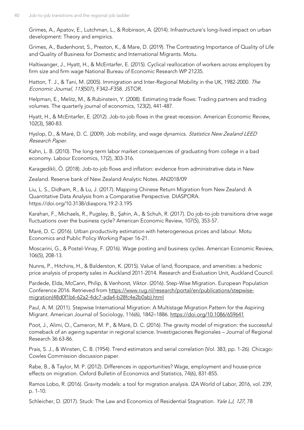Grimes, A., Apatov, E., Lutchman, L., & Robinson, A. (2014). Infrastructure's long-lived impact on urban development: Theory and empirics.

Grimes, A., Badenhorst, S., Preston, K., & Mare, D. (2019). The Contrasting Importance of Quality of Life and Quality of Business for Domestic and International Migrants. Motu.

Haltiwanger, J., Hyatt, H., & McEntarfer, E. (2015). Cyclical reallocation of workers across employers by firm size and firm wage National Bureau of Economic Research WP 21235.

Hatton, T. J., & Tani, M. (2005). Immigration and Inter-Regional Mobility in the UK, 1982-2000. The Economic Journal, 115(507), F342–F358. JSTOR.

Helpman, E., Melitz, M., & Rubinstein, Y. (2008). Estimating trade flows: Trading partners and trading volumes. The quarterly journal of economics, 123(2), 441-487.

Hyatt, H., & McEntarfer, E. (2012). Job-to-job flows in the great recession. American Economic Review, 102(3), 580-83.

Hyslop, D., & Maré, D. C. (2009). Job mobility, and wage dynamics. Statistics New Zealand LEED Research Paper.

Kahn, L. B. (2010). The long-term labor market consequences of graduating from college in a bad economy. Labour Economics, 17(2), 303-316.

Karagedikli, Ö. (2018). Job-to-job flows and inflation: evidence from administrative data in New

Zealand. Reserve bank of New Zealand Analytic Notes. AN2018/09

Liu, L. S., Didham, R., & Lu, J. (2017). Mapping Chinese Return Migration from New Zealand: A Quantitative Data Analysis from a Comparative Perspective. DIASPORA. https://doi.org/10.3138/diaspora.19.2-3.195

Karahan, F., Michaels, R., Pugsley, B., Şahin, A., & Schuh, R. (2017). Do job-to-job transitions drive wage fluctuations over the business cycle? American Economic Review, 107(5), 353-57.

Maré, D. C. (2016). Urban productivity estimation with heterogeneous prices and labour. Motu Economics and Public Policy Working Paper 16-21.

Moscarini, G., & Postel-Vinay, F. (2016). Wage posting and business cycles. American Economic Review, 106(5), 208-13.

Nunns, P., Hitchins, H., & Balderston, K. (2015). Value of land, floorspace, and amenities: a hedonic price analysis of property sales in Auckland 2011-2014. Research and Evaluation Unit, Auckland Council.

Pardede, Elda, McCann, Philip, & Venhorst, Viktor. (2016). Step-Wise Migration. European Population Conference 2016. Retrieved from [https://www.rug.nl/research/portal/en/publications/stepwise](https://www.rug.nl/research/portal/en/publications/stepwise-migration(48d0f1b6-62a2-4dc7-ada4-b28fc4e2b0ab).html)[migration\(48d0f1b6-62a2-4dc7-ada4-b28fc4e2b0ab\).html](https://www.rug.nl/research/portal/en/publications/stepwise-migration(48d0f1b6-62a2-4dc7-ada4-b28fc4e2b0ab).html)

Paul, A. M. (2011). Stepwise International Migration: A Multistage Migration Pattern for the Aspiring Migrant. American Journal of Sociology, 116(6), 1842–1886.<https://doi.org/10.1086/659641>

Poot, J., Alimi, O., Cameron, M. P., & Maré, D. C. (2016). The gravity model of migration: the successful comeback of an ageing superstar in regional science. Investigaciones Regionales – Journal of Regional Research 36 63-86.

Prais, S. J., & Winsten, C. B. (1954). Trend estimators and serial correlation (Vol. 383, pp. 1-26). Chicago: Cowles Commission discussion paper.

Rabe, B., & Taylor, M. P. (2012). Differences in opportunities? Wage, employment and house‐price effects on migration. Oxford Bulletin of Economics and Statistics, 74(6), 831-855.

Ramos Lobo, R. (2016). Gravity models: a tool for migration analysis. IZA World of Labor, 2016, vol. 239, p. 1-10.

Schleicher, D. (2017). Stuck: The Law and Economics of Residential Stagnation. Yale LJ, 127, 78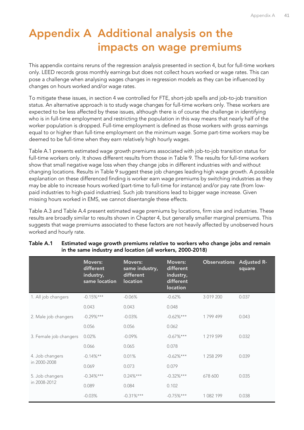## <span id="page-44-0"></span>**Appendix A Additional analysis on the impacts on wage premiums**

This appendix contains reruns of the regression analysis presented in section 4, but for full-time workers only. LEED records gross monthly earnings but does not collect hours worked or wage rates. This can pose a challenge when analysing wages changes in regression models as they can be influenced by changes on hours worked and/or wage rates.

To mitigate these issues, in section 4 we controlled for FTE, short-job spells and job-to-job transition status. An alternative approach is to study wage changes for full-time workers only. These workers are expected to be less affected by these issues, although there is of course the challenge in identifying who is in full-time employment and restricting the population in this way means that nearly half of the worker population is dropped. Full-time employment is defined as those workers with gross earnings equal to or higher than full-time employment on the minimum wage. Some part-time workers may be deemed to be full-time when they earn relatively high hourly wages.

[Table A.1](#page-44-1) presents estimated wage growth premiums associated with job-to-job transition status for full-time workers only. It shows different results from those in [Table 9.](#page-24-0) The results for full-time workers show that small negative wage loss when they change jobs in different industries with and without changing locations. Results in [Table 9](#page-24-0) suggest these job changes leading high wage growth. A possible explanation on these differenced finding is worker earn wage premiums by switching industries as they may be able to increase hours worked (part-time to full-time for instance) and/or pay rate (from lowpaid industries to high-paid industries). Such job transitions lead to bigger wage increase. Given missing hours worked in EMS, we cannot disentangle these effects.

[Table A.3](#page-46-0) and [Table A.4](#page-46-1) present estimated wage premiums by locations, firm size and industries. These results are broadly similar to results shown in Chapter 4, but generally smaller marginal premiums. This suggests that wage premiums associated to these factors are not heavily affected by unobserved hours worked and hourly rate.

|                        | <b>Movers:</b><br>different<br>industry,<br>same location | <b>Movers:</b><br>same industry,<br>different<br>location | <b>Movers:</b><br>different<br>industry,<br>different<br><b>location</b> | <b>Observations</b> | <b>Adjusted R-</b><br>square |
|------------------------|-----------------------------------------------------------|-----------------------------------------------------------|--------------------------------------------------------------------------|---------------------|------------------------------|
| 1. All job changers    | $-0.15%***$                                               | $-0.06%$                                                  | $-0.62%$                                                                 | 3 019 200           | 0.037                        |
|                        | 0.043                                                     | 0.043                                                     | 0.048                                                                    |                     |                              |
| 2. Male job changers   | $-0.29%***$                                               | $-0.03%$                                                  | $-0.62\%***$                                                             | 1799499             | 0.043                        |
|                        | 0.056                                                     | 0.056                                                     | 0.062                                                                    |                     |                              |
| 3. Female job changers | 0.02%                                                     | $-0.09\%$                                                 | $-0.67\%***$                                                             | 1 219 599           | 0.032                        |
|                        | 0.066                                                     | 0.065                                                     | 0.078                                                                    |                     |                              |
| 4. Job changers        | $-0.14\%**$                                               | 0.01%                                                     | $-0.62\%***$                                                             | 1 258 299           | 0.039                        |
| in 2000-2008           | 0.069                                                     | 0.073                                                     | 0.079                                                                    |                     |                              |
| 5. Job changers        | $-0.34\%***$                                              | $0.24\%***$                                               | $-0.32\%***$                                                             | 678 600             | 0.035                        |
| in 2008-2012           | 0.089                                                     | 0.084                                                     | 0.102                                                                    |                     |                              |
|                        | $-0.03%$                                                  | $-0.31\%***$                                              | $-0.75%$ ***                                                             | 1 082 199           | 0.038                        |

#### <span id="page-44-1"></span>**Table A.1 Estimated wage growth premiums relative to workers who change jobs and remain in the same industry and location (all workers, 2000-2018)**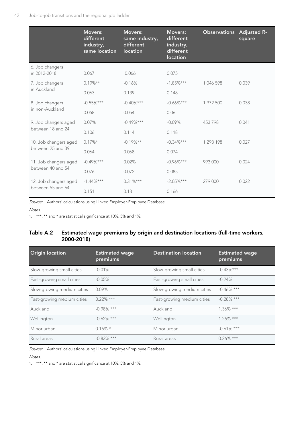|                                    | <b>Movers:</b><br>different<br>industry,<br>same location | <b>Movers:</b><br>same industry,<br>different<br>location | <b>Movers:</b><br>different<br>industry,<br>different<br><b>location</b> | <b>Observations</b> Adjusted R- | square |
|------------------------------------|-----------------------------------------------------------|-----------------------------------------------------------|--------------------------------------------------------------------------|---------------------------------|--------|
| 6. Job changers<br>in 2012-2018    | 0.067                                                     | 0.066                                                     | 0.075                                                                    |                                 |        |
| 7. Job changers                    | $0.19\%**$                                                | $-0.16%$                                                  | $-1.85%$ ***                                                             | 1 046 598                       | 0.039  |
| in Auckland                        | 0.063                                                     | 0.139                                                     | 0.148                                                                    |                                 |        |
| 8. Job changers<br>in non-Auckland | $-0.55%***$                                               | $-0.40\%***$                                              | $-0.66\%***$                                                             | 1 972 500                       | 0.038  |
|                                    | 0.058                                                     | 0.054                                                     | 0.06                                                                     |                                 |        |
| 9. Job changers aged               | 0.07%                                                     | $-0.49%***$                                               | $-0.09%$                                                                 | 453798                          | 0.041  |
| between 18 and 24                  | 0.106                                                     | 0.114                                                     | 0.118                                                                    |                                 |        |
| 10. Job changers aged              | $0.17\%*$                                                 | $-0.19%$ **                                               | $-0.34\%***$                                                             | 1 293 198                       | 0.027  |
| between 25 and 39                  | 0.064                                                     | 0.068                                                     | 0.074                                                                    |                                 |        |
| 11. Job changers aged              | $-0.49%***$                                               | 0.02%                                                     | $-0.96\%***$                                                             | 993 000                         | 0.024  |
| between 40 and 54                  | 0.076                                                     | 0.072                                                     | 0.085                                                                    |                                 |        |
| 12. Job changers aged              | $-1.44%***$                                               | $0.31\%***$                                               | $-2.05%***$                                                              | 279 000                         | 0.022  |
| between 55 and 64                  | 0.151                                                     | 0.13                                                      | 0.166                                                                    |                                 |        |

Source: Authors' calculations using Linked Employer-Employee Database

#### Notes:

1. \*\*\*, \*\* and \* are statistical significance at 10%, 5% and 1%.

#### **Table A.2 Estimated wage premiums by origin and destination locations (full-time workers, 2000-2018)**

| <b>Origin location</b>     | <b>Estimated wage</b><br>premiums | <b>Destination location</b> | <b>Estimated wage</b><br>premiums |
|----------------------------|-----------------------------------|-----------------------------|-----------------------------------|
| Slow-growing small cities  | $-0.01%$                          | Slow-growing small cities   | $-0.43\%***$                      |
| Fast-growing small cities  | $-0.05%$                          | Fast-growing small cities   | $-0.24%$                          |
| Slow-growing medium cities | 0.09%                             | Slow-growing medium cities  | $-0.46\%$ ***                     |
| Fast-growing medium cities | $0.22\%$ ***                      | Fast-growing medium cities  | $-0.28\%$ ***                     |
| Auckland                   | $-0.98\%$ ***                     | Auckland                    | $1.36\%$ ***                      |
| Wellington                 | $-0.62\%$ ***                     | Wellington                  | $1.26\%$ ***                      |
| Minor urban                | $0.16\%$ *                        | Minor urban                 | $-0.61\%$ ***                     |
| Rural areas                | $-0.83\%$ ***                     | Rural areas                 | $0.26\%$ ***                      |

Source: Authors' calculations using Linked Employer-Employee Database

Notes:

1. \*\*\*, \*\* and \* are statistical significance at 10%, 5% and 1%.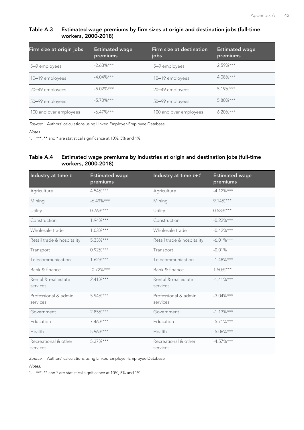#### <span id="page-46-0"></span>**Table A.3 Estimated wage premiums by firm sizes at origin and destination jobs (full-time workers, 2000-2018)**

| Firm size at origin jobs | <b>Estimated wage</b><br>premiums | Firm size at destination<br>jobs | <b>Estimated wage</b><br>premiums |
|--------------------------|-----------------------------------|----------------------------------|-----------------------------------|
| 5–9 employees            | $-2.63\%***$                      | 5-9 employees                    | $2.59\%***$                       |
| 10-19 employees          | $-4.04\%***$                      | 10-19 employees                  | $4.08\%***$                       |
| 20-49 employees          | $-5.02\%***$                      | 20-49 employees                  | $5.19%***$                        |
| 50-99 employees          | $-5.70%***$                       | 50-99 employees                  | $5.80\%***$                       |
| 100 and over employees   | $-6.47\%***$                      | 100 and over employees           | $6.20\%***$                       |

Source: Authors' calculations using Linked Employer-Employee Database

Notes:

1. \*\*\*, \*\* and \* are statistical significance at 10%, 5% and 1%.

#### <span id="page-46-1"></span>**Table A.4 Estimated wage premiums by industries at origin and destination jobs (full-time workers, 2000-2018)**

| Industry at time t               | <b>Estimated wage</b><br>premiums | Industry at time $t+1$           | <b>Estimated wage</b><br>premiums |
|----------------------------------|-----------------------------------|----------------------------------|-----------------------------------|
| Agriculture                      | 4.54%***                          | Agriculture                      | $-4.12%***$                       |
| Mining                           | $-6.49\%***$                      | Mining                           | $9.14\%***$                       |
| Utility                          | $0.76\%***$                       | Utility                          | $0.58\%***$                       |
| Construction                     | $1.94\%***$                       | Construction                     | $-0.22\%***$                      |
| Wholesale trade                  | $1.03\%***$                       | Wholesale trade                  | $-0.42%***$                       |
| Retail trade & hospitality       | $5.33\%***$                       | Retail trade & hospitality       | $-6.01\%***$                      |
| Transport                        | $0.92\%***$                       | Transport                        | $-0.01%$                          |
| Telecommunication                | $1.62\%***$                       | Telecommunication                | $-1.48%***$                       |
| Bank & finance                   | $-0.72\%***$                      | Bank & finance                   | $1.50\%***$                       |
| Rental & real estate<br>services | $2.41\%***$                       | Rental & real estate<br>services | $-1.41\%***$                      |
| Professional & admin<br>services | 5.94%***                          | Professional & admin<br>services | $-3.04\%***$                      |
| Government                       | $2.85%***$                        | Government                       | $-1.13%***$                       |
| Education                        | 7.46%***                          | Education                        | $-5.71%$ ***                      |
| Health                           | 5.96%***                          | Health                           | $-5.06\%***$                      |
| Recreational & other<br>services | $5.37\%***$                       | Recreational & other<br>services | $-4.57\%***$                      |

Source: Authors' calculations using Linked Employer-Employee Database

Notes:

1. \*\*\*, \*\* and \* are statistical significance at 10%, 5% and 1%.